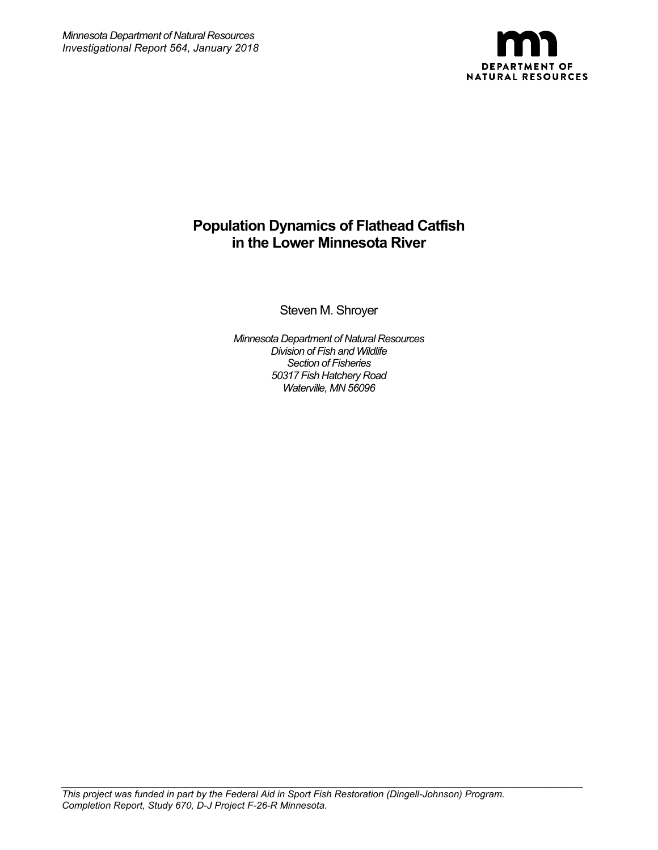

# **Population Dynamics of Flathead Catfish in the Lower Minnesota River**

Steven M. Shroyer

*Minnesota Department of Natural Resources Division of Fish and Wildlife Section of Fisheries 50317 Fish Hatchery Road Waterville, MN 56096*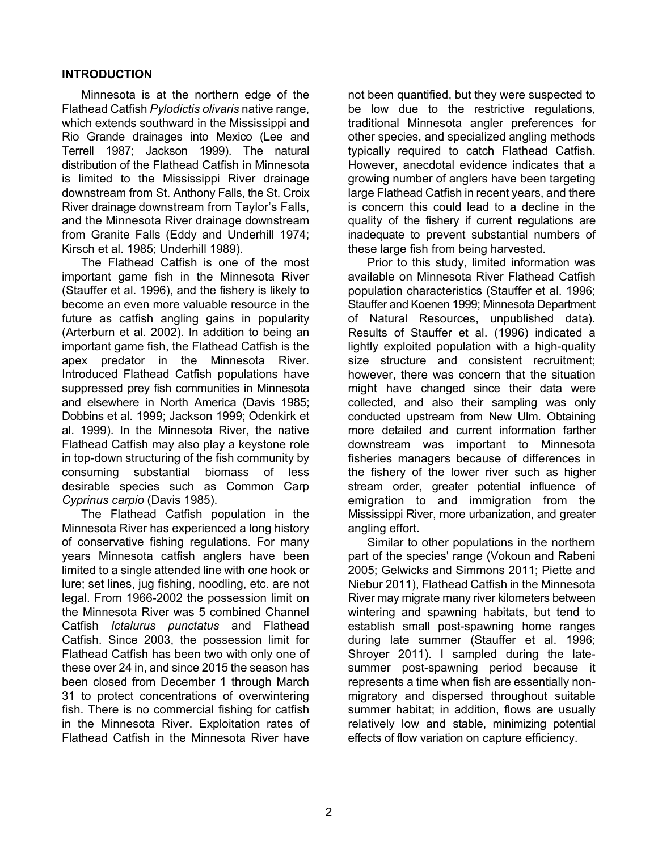## **INTRODUCTION**

Minnesota is at the northern edge of the Flathead Catfish *Pylodictis olivaris* native range, which extends southward in the Mississippi and Rio Grande drainages into Mexico (Lee and Terrell 1987; Jackson 1999). The natural distribution of the Flathead Catfish in Minnesota is limited to the Mississippi River drainage downstream from St. Anthony Falls, the St. Croix River drainage downstream from Taylor's Falls, and the Minnesota River drainage downstream from Granite Falls (Eddy and Underhill 1974; Kirsch et al. 1985; Underhill 1989).

The Flathead Catfish is one of the most important game fish in the Minnesota River (Stauffer et al. 1996), and the fishery is likely to become an even more valuable resource in the future as catfish angling gains in popularity (Arterburn et al. 2002). In addition to being an important game fish, the Flathead Catfish is the apex predator in the Minnesota River. Introduced Flathead Catfish populations have suppressed prey fish communities in Minnesota and elsewhere in North America (Davis 1985; Dobbins et al. 1999; Jackson 1999; Odenkirk et al. 1999). In the Minnesota River, the native Flathead Catfish may also play a keystone role in top-down structuring of the fish community by consuming substantial biomass of less desirable species such as Common Carp *Cyprinus carpio* (Davis 1985).

The Flathead Catfish population in the Minnesota River has experienced a long history of conservative fishing regulations. For many years Minnesota catfish anglers have been limited to a single attended line with one hook or lure; set lines, jug fishing, noodling, etc. are not legal. From 1966-2002 the possession limit on the Minnesota River was 5 combined Channel Catfish *Ictalurus punctatus* and Flathead Catfish. Since 2003, the possession limit for Flathead Catfish has been two with only one of these over 24 in, and since 2015 the season has been closed from December 1 through March 31 to protect concentrations of overwintering fish. There is no commercial fishing for catfish in the Minnesota River. Exploitation rates of Flathead Catfish in the Minnesota River have

not been quantified, but they were suspected to be low due to the restrictive regulations, traditional Minnesota angler preferences for other species, and specialized angling methods typically required to catch Flathead Catfish. However, anecdotal evidence indicates that a growing number of anglers have been targeting large Flathead Catfish in recent years, and there is concern this could lead to a decline in the quality of the fishery if current regulations are inadequate to prevent substantial numbers of these large fish from being harvested.

Prior to this study, limited information was available on Minnesota River Flathead Catfish population characteristics (Stauffer et al. 1996; Stauffer and Koenen 1999; Minnesota Department of Natural Resources, unpublished data). Results of Stauffer et al. (1996) indicated a lightly exploited population with a high-quality size structure and consistent recruitment; however, there was concern that the situation might have changed since their data were collected, and also their sampling was only conducted upstream from New Ulm. Obtaining more detailed and current information farther downstream was important to Minnesota fisheries managers because of differences in the fishery of the lower river such as higher stream order, greater potential influence of emigration to and immigration from the Mississippi River, more urbanization, and greater angling effort.

Similar to other populations in the northern part of the species' range (Vokoun and Rabeni 2005; Gelwicks and Simmons 2011; Piette and Niebur 2011), Flathead Catfish in the Minnesota River may migrate many river kilometers between wintering and spawning habitats, but tend to establish small post-spawning home ranges during late summer (Stauffer et al. 1996; Shroyer 2011). I sampled during the latesummer post-spawning period because it represents a time when fish are essentially nonmigratory and dispersed throughout suitable summer habitat; in addition, flows are usually relatively low and stable, minimizing potential effects of flow variation on capture efficiency.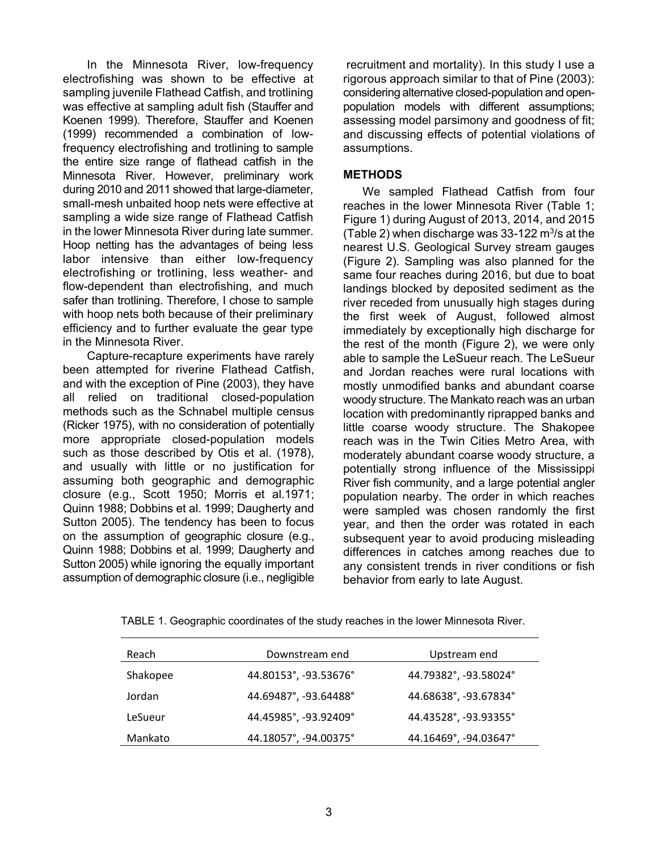In the Minnesota River, low-frequency electrofishing was shown to be effective at sampling juvenile Flathead Catfish, and trotlining was effective at sampling adult fish (Stauffer and Koenen 1999). Therefore, Stauffer and Koenen (1999) recommended a combination of lowfrequency electrofishing and trotlining to sample the entire size range of flathead catfish in the Minnesota River. However, preliminary work during 2010 and 2011 showed that large-diameter, small-mesh unbaited hoop nets were effective at sampling a wide size range of Flathead Catfish in the lower Minnesota River during late summer. Hoop netting has the advantages of being less labor intensive than either low-frequency electrofishing or trotlining, less weather- and flow-dependent than electrofishing, and much safer than trotlining. Therefore, I chose to sample with hoop nets both because of their preliminary efficiency and to further evaluate the gear type in the Minnesota River.

Capture-recapture experiments have rarely been attempted for riverine Flathead Catfish, and with the exception of Pine (2003), they have all relied on traditional closed-population methods such as the Schnabel multiple census (Ricker 1975), with no consideration of potentially more appropriate closed-population models such as those described by Otis et al. (1978), and usually with little or no justification for assuming both geographic and demographic closure (e.g., Scott 1950; Morris et al.1971; Quinn 1988; Dobbins et al. 1999; Daugherty and Sutton 2005). The tendency has been to focus on the assumption of geographic closure (e.g., Quinn 1988; Dobbins et al. 1999; Daugherty and Sutton 2005) while ignoring the equally important assumption of demographic closure (i.e., negligible

recruitment and mortality). In this study I use a rigorous approach similar to that of Pine (2003): considering alternative closed-population and openpopulation models with different assumptions; assessing model parsimony and goodness of fit; and discussing effects of potential violations of assumptions.

### **METHODS**

We sampled Flathead Catfish from four reaches in the lower Minnesota River (Table 1; Figure 1) during August of 2013, 2014, and 2015 (Table 2) when discharge was  $33-122$  m<sup>3</sup>/s at the nearest U.S. Geological Survey stream gauges (Figure 2). Sampling was also planned for the same four reaches during 2016, but due to boat landings blocked by deposited sediment as the river receded from unusually high stages during the first week of August, followed almost immediately by exceptionally high discharge for the rest of the month (Figure 2), we were only able to sample the LeSueur reach. The LeSueur and Jordan reaches were rural locations with mostly unmodified banks and abundant coarse woody structure. The Mankato reach was an urban location with predominantly riprapped banks and little coarse woody structure. The Shakopee reach was in the Twin Cities Metro Area, with moderately abundant coarse woody structure, a potentially strong influence of the Mississippi River fish community, and a large potential angler population nearby. The order in which reaches were sampled was chosen randomly the first year, and then the order was rotated in each subsequent year to avoid producing misleading differences in catches among reaches due to any consistent trends in river conditions or fish behavior from early to late August.

| Reach    | Downstream end        | Upstream end          |
|----------|-----------------------|-----------------------|
| Shakopee | 44.80153°, -93.53676° | 44.79382°, -93.58024° |
| Jordan   | 44.69487°, -93.64488° | 44.68638°, -93.67834° |
| LeSueur  | 44.45985°, -93.92409° | 44.43528°, -93.93355° |
| Mankato  | 44.18057°, -94.00375° | 44.16469°, -94.03647° |

TABLE 1. Geographic coordinates of the study reaches in the lower Minnesota River.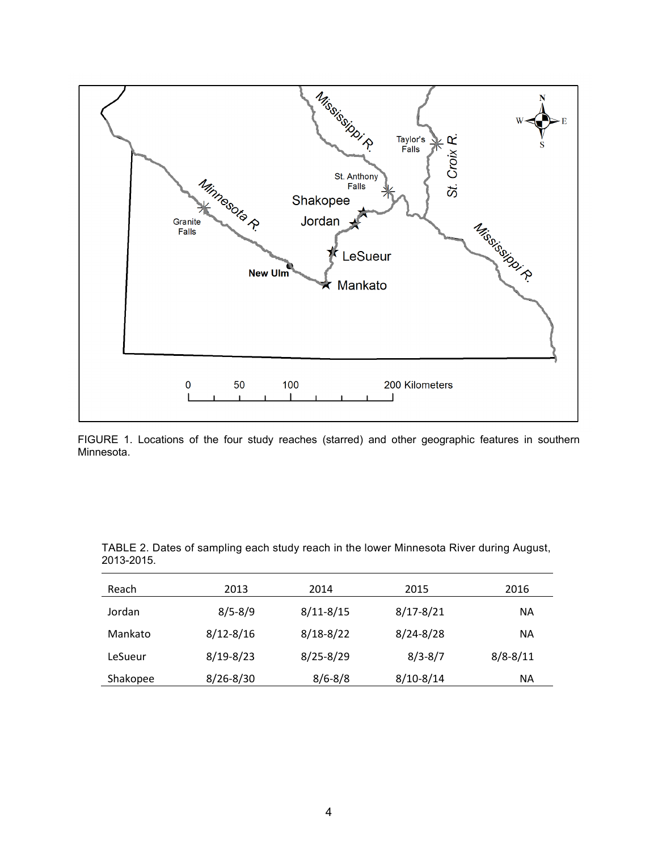

FIGURE 1. Locations of the four study reaches (starred) and other geographic features in southern Minnesota.

| Reach    | 2013          | 2014          | 2015          | 2016         |
|----------|---------------|---------------|---------------|--------------|
| Jordan   | $8/5 - 8/9$   | $8/11 - 8/15$ | $8/17 - 8/21$ | ΝA           |
| Mankato  | $8/12 - 8/16$ | $8/18 - 8/22$ | $8/24 - 8/28$ | ΝA           |
| LeSueur  | $8/19 - 8/23$ | $8/25 - 8/29$ | $8/3 - 8/7$   | $8/8 - 8/11$ |
| Shakopee | $8/26 - 8/30$ | $8/6 - 8/8$   | $8/10 - 8/14$ | ΝA           |

TABLE 2. Dates of sampling each study reach in the lower Minnesota River during August, 2013-2015.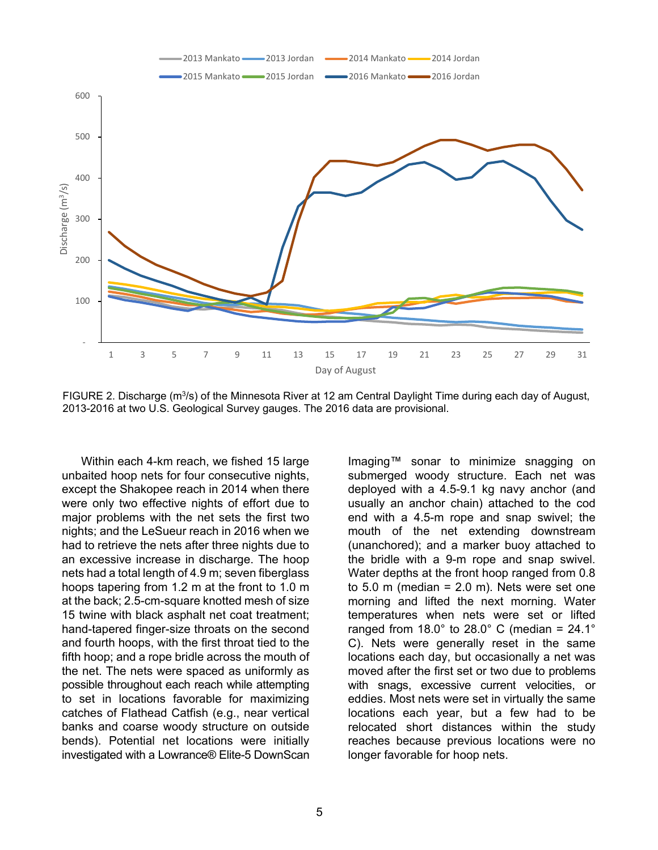

FIGURE 2. Discharge  $(m^3/s)$  of the Minnesota River at 12 am Central Daylight Time during each day of August, 2013-2016 at two U.S. Geological Survey gauges. The 2016 data are provisional.

Within each 4-km reach, we fished 15 large unbaited hoop nets for four consecutive nights, except the Shakopee reach in 2014 when there were only two effective nights of effort due to major problems with the net sets the first two nights; and the LeSueur reach in 2016 when we had to retrieve the nets after three nights due to an excessive increase in discharge. The hoop nets had a total length of 4.9 m; seven fiberglass hoops tapering from 1.2 m at the front to 1.0 m at the back; 2.5-cm-square knotted mesh of size 15 twine with black asphalt net coat treatment; hand-tapered finger-size throats on the second and fourth hoops, with the first throat tied to the fifth hoop; and a rope bridle across the mouth of the net. The nets were spaced as uniformly as possible throughout each reach while attempting to set in locations favorable for maximizing catches of Flathead Catfish (e.g., near vertical banks and coarse woody structure on outside bends). Potential net locations were initially investigated with a Lowrance® Elite-5 DownScan

Imaging™ sonar to minimize snagging on submerged woody structure. Each net was deployed with a 4.5-9.1 kg navy anchor (and usually an anchor chain) attached to the cod end with a 4.5-m rope and snap swivel; the mouth of the net extending downstream (unanchored); and a marker buoy attached to the bridle with a 9-m rope and snap swivel. Water depths at the front hoop ranged from 0.8 to  $5.0 \text{ m}$  (median =  $2.0 \text{ m}$ ). Nets were set one morning and lifted the next morning. Water temperatures when nets were set or lifted ranged from 18.0 $^{\circ}$  to 28.0 $^{\circ}$  C (median = 24.1 $^{\circ}$ C). Nets were generally reset in the same locations each day, but occasionally a net was moved after the first set or two due to problems with snags, excessive current velocities, or eddies. Most nets were set in virtually the same locations each year, but a few had to be relocated short distances within the study reaches because previous locations were no longer favorable for hoop nets.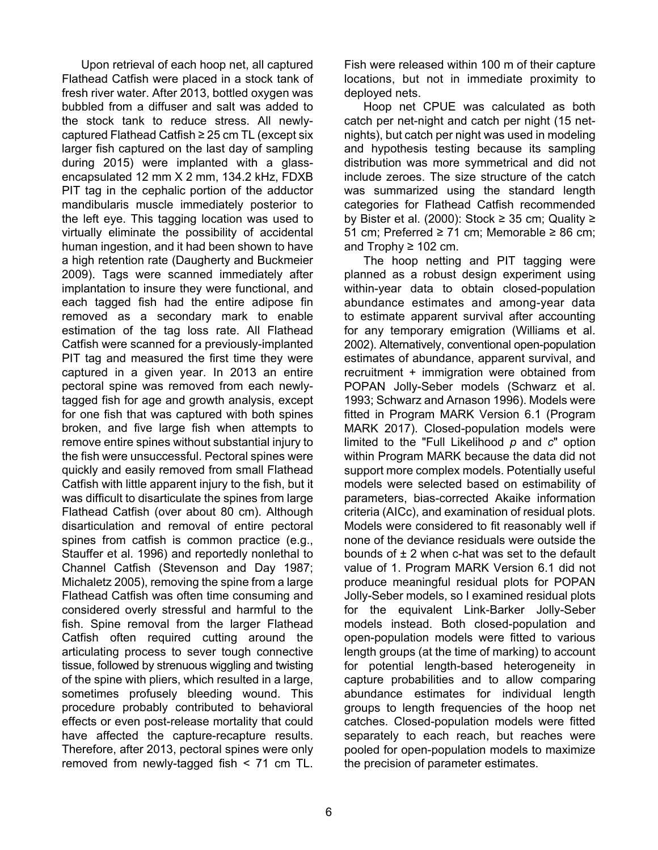Upon retrieval of each hoop net, all captured Flathead Catfish were placed in a stock tank of fresh river water. After 2013, bottled oxygen was bubbled from a diffuser and salt was added to the stock tank to reduce stress. All newlycaptured Flathead Catfish ≥ 25 cm TL (except six larger fish captured on the last day of sampling during 2015) were implanted with a glassencapsulated 12 mm X 2 mm, 134.2 kHz, FDXB PIT tag in the cephalic portion of the adductor mandibularis muscle immediately posterior to the left eye. This tagging location was used to virtually eliminate the possibility of accidental human ingestion, and it had been shown to have a high retention rate (Daugherty and Buckmeier 2009). Tags were scanned immediately after implantation to insure they were functional, and each tagged fish had the entire adipose fin removed as a secondary mark to enable estimation of the tag loss rate. All Flathead Catfish were scanned for a previously-implanted PIT tag and measured the first time they were captured in a given year. In 2013 an entire pectoral spine was removed from each newlytagged fish for age and growth analysis, except for one fish that was captured with both spines broken, and five large fish when attempts to remove entire spines without substantial injury to the fish were unsuccessful. Pectoral spines were quickly and easily removed from small Flathead Catfish with little apparent injury to the fish, but it was difficult to disarticulate the spines from large Flathead Catfish (over about 80 cm). Although disarticulation and removal of entire pectoral spines from catfish is common practice (e.g., Stauffer et al. 1996) and reportedly nonlethal to Channel Catfish (Stevenson and Day 1987; Michaletz 2005), removing the spine from a large Flathead Catfish was often time consuming and considered overly stressful and harmful to the fish. Spine removal from the larger Flathead Catfish often required cutting around the articulating process to sever tough connective tissue, followed by strenuous wiggling and twisting of the spine with pliers, which resulted in a large, sometimes profusely bleeding wound. This procedure probably contributed to behavioral effects or even post-release mortality that could have affected the capture-recapture results. Therefore, after 2013, pectoral spines were only removed from newly-tagged fish < 71 cm TL.

Fish were released within 100 m of their capture locations, but not in immediate proximity to deployed nets.

Hoop net CPUE was calculated as both catch per net-night and catch per night (15 netnights), but catch per night was used in modeling and hypothesis testing because its sampling distribution was more symmetrical and did not include zeroes. The size structure of the catch was summarized using the standard length categories for Flathead Catfish recommended by Bister et al. (2000): Stock  $\geq$  35 cm; Quality  $\geq$ 51 cm; Preferred ≥ 71 cm; Memorable ≥ 86 cm; and Trophy  $\geq 102$  cm.

The hoop netting and PIT tagging were planned as a robust design experiment using within-year data to obtain closed-population abundance estimates and among-year data to estimate apparent survival after accounting for any temporary emigration (Williams et al. 2002). Alternatively, conventional open-population estimates of abundance, apparent survival, and recruitment + immigration were obtained from POPAN Jolly-Seber models (Schwarz et al. 1993; Schwarz and Arnason 1996). Models were fitted in Program MARK Version 6.1 (Program MARK 2017). Closed-population models were limited to the "Full Likelihood *p* and *c*" option within Program MARK because the data did not support more complex models. Potentially useful models were selected based on estimability of parameters, bias-corrected Akaike information criteria (AICc), and examination of residual plots. Models were considered to fit reasonably well if none of the deviance residuals were outside the bounds of  $\pm 2$  when c-hat was set to the default value of 1. Program MARK Version 6.1 did not produce meaningful residual plots for POPAN Jolly-Seber models, so I examined residual plots for the equivalent Link-Barker Jolly-Seber models instead. Both closed-population and open-population models were fitted to various length groups (at the time of marking) to account for potential length-based heterogeneity in capture probabilities and to allow comparing abundance estimates for individual length groups to length frequencies of the hoop net catches. Closed-population models were fitted separately to each reach, but reaches were pooled for open-population models to maximize the precision of parameter estimates.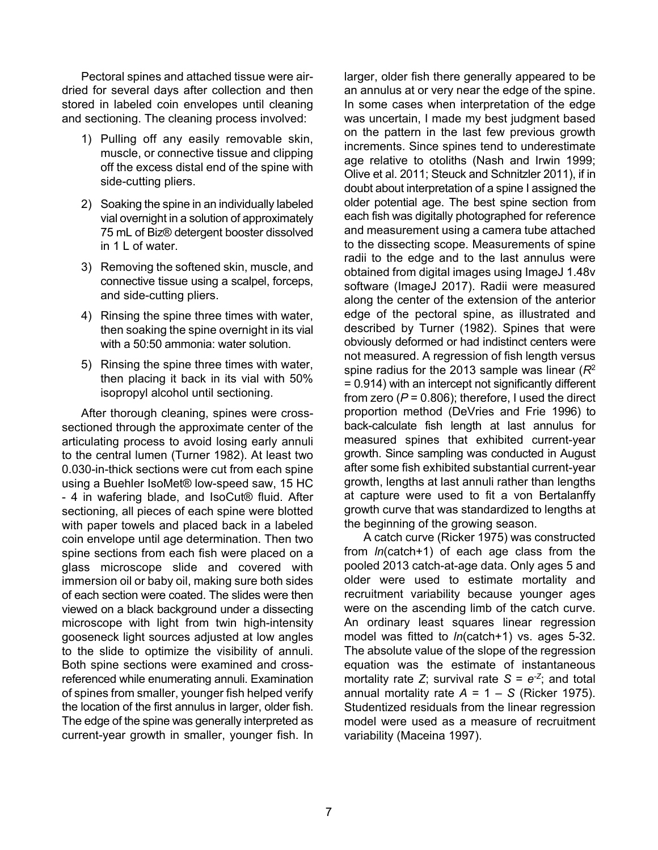Pectoral spines and attached tissue were airdried for several days after collection and then stored in labeled coin envelopes until cleaning and sectioning. The cleaning process involved:

- 1) Pulling off any easily removable skin, muscle, or connective tissue and clipping off the excess distal end of the spine with side-cutting pliers.
- 2) Soaking the spine in an individually labeled vial overnight in a solution of approximately 75 mL of Biz® detergent booster dissolved in 1 L of water.
- 3) Removing the softened skin, muscle, and connective tissue using a scalpel, forceps, and side-cutting pliers.
- 4) Rinsing the spine three times with water, then soaking the spine overnight in its vial with a 50:50 ammonia: water solution.
- 5) Rinsing the spine three times with water, then placing it back in its vial with 50% isopropyl alcohol until sectioning.

After thorough cleaning, spines were crosssectioned through the approximate center of the articulating process to avoid losing early annuli to the central lumen (Turner 1982). At least two 0.030-in-thick sections were cut from each spine using a Buehler IsoMet® low-speed saw, 15 HC - 4 in wafering blade, and IsoCut® fluid. After sectioning, all pieces of each spine were blotted with paper towels and placed back in a labeled coin envelope until age determination. Then two spine sections from each fish were placed on a glass microscope slide and covered with immersion oil or baby oil, making sure both sides of each section were coated. The slides were then viewed on a black background under a dissecting microscope with light from twin high-intensity gooseneck light sources adjusted at low angles to the slide to optimize the visibility of annuli. Both spine sections were examined and crossreferenced while enumerating annuli. Examination of spines from smaller, younger fish helped verify the location of the first annulus in larger, older fish. The edge of the spine was generally interpreted as current-year growth in smaller, younger fish. In

larger, older fish there generally appeared to be an annulus at or very near the edge of the spine. In some cases when interpretation of the edge was uncertain, I made my best judgment based on the pattern in the last few previous growth increments. Since spines tend to underestimate age relative to otoliths (Nash and Irwin 1999; Olive et al. 2011; Steuck and Schnitzler 2011), if in doubt about interpretation of a spine I assigned the older potential age. The best spine section from each fish was digitally photographed for reference and measurement using a camera tube attached to the dissecting scope. Measurements of spine radii to the edge and to the last annulus were obtained from digital images using ImageJ 1.48v software (ImageJ 2017). Radii were measured along the center of the extension of the anterior edge of the pectoral spine, as illustrated and described by Turner (1982). Spines that were obviously deformed or had indistinct centers were not measured. A regression of fish length versus spine radius for the 2013 sample was linear (*R*<sup>2</sup> = 0.914) with an intercept not significantly different from zero  $(P = 0.806)$ ; therefore, I used the direct proportion method (DeVries and Frie 1996) to back-calculate fish length at last annulus for measured spines that exhibited current-year growth. Since sampling was conducted in August after some fish exhibited substantial current-year growth, lengths at last annuli rather than lengths at capture were used to fit a von Bertalanffy growth curve that was standardized to lengths at the beginning of the growing season.

A catch curve (Ricker 1975) was constructed from *ln*(catch+1) of each age class from the pooled 2013 catch-at-age data. Only ages 5 and older were used to estimate mortality and recruitment variability because younger ages were on the ascending limb of the catch curve. An ordinary least squares linear regression model was fitted to *ln*(catch+1) vs. ages 5-32. The absolute value of the slope of the regression equation was the estimate of instantaneous mortality rate *Z*; survival rate  $S = e^{-Z}$ ; and total annual mortality rate  $A = 1 - S$  (Ricker 1975). Studentized residuals from the linear regression model were used as a measure of recruitment variability (Maceina 1997).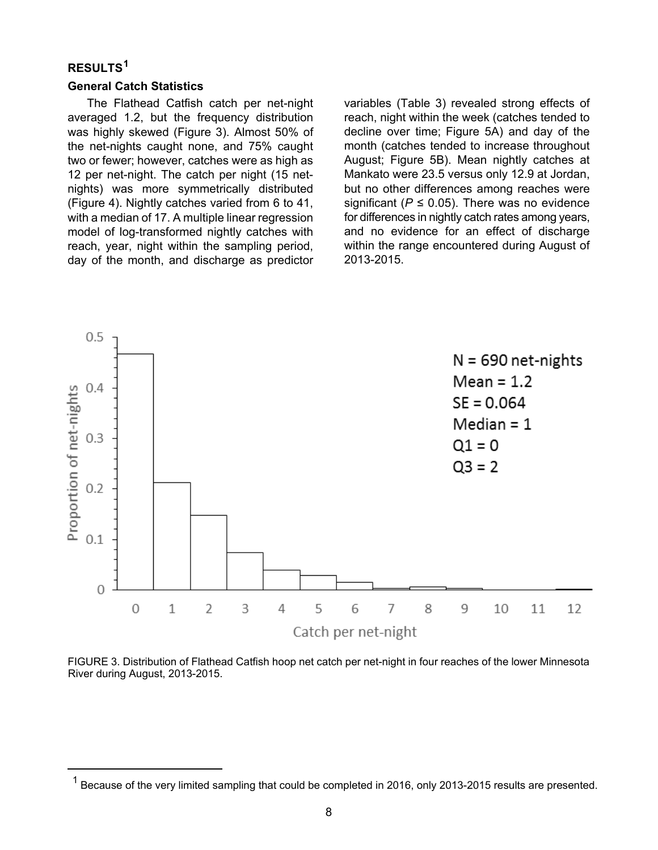# **RESULTS[1](#page-7-0)**

<span id="page-7-0"></span>l

#### **General Catch Statistics**

The Flathead Catfish catch per net-night averaged 1.2, but the frequency distribution was highly skewed (Figure 3). Almost 50% of the net-nights caught none, and 75% caught two or fewer; however, catches were as high as 12 per net-night. The catch per night (15 netnights) was more symmetrically distributed (Figure 4). Nightly catches varied from 6 to 41, with a median of 17. A multiple linear regression model of log-transformed nightly catches with reach, year, night within the sampling period, day of the month, and discharge as predictor

variables (Table 3) revealed strong effects of reach, night within the week (catches tended to decline over time; Figure 5A) and day of the month (catches tended to increase throughout August; Figure 5B). Mean nightly catches at Mankato were 23.5 versus only 12.9 at Jordan, but no other differences among reaches were significant ( $P \le 0.05$ ). There was no evidence for differences in nightly catch rates among years, and no evidence for an effect of discharge within the range encountered during August of 2013-2015.



FIGURE 3. Distribution of Flathead Catfish hoop net catch per net-night in four reaches of the lower Minnesota River during August, 2013-2015.

 $1$  Because of the very limited sampling that could be completed in 2016, only 2013-2015 results are presented.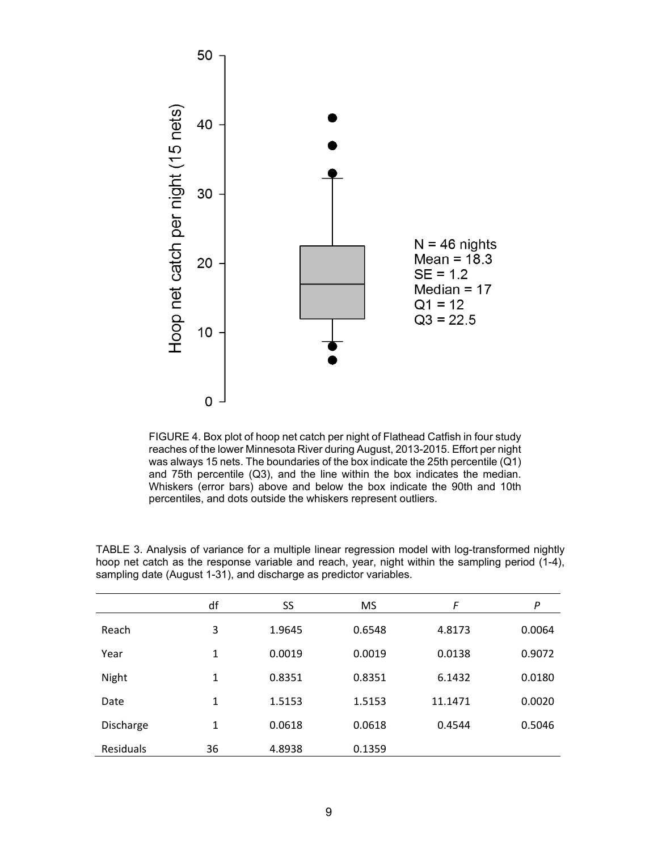

FIGURE 4. Box plot of hoop net catch per night of Flathead Catfish in four study reaches of the lower Minnesota River during August, 2013-2015. Effort per night was always 15 nets. The boundaries of the box indicate the 25th percentile (Q1) and 75th percentile (Q3), and the line within the box indicates the median. Whiskers (error bars) above and below the box indicate the 90th and 10th percentiles, and dots outside the whiskers represent outliers.

|           | df           | SS     | <b>MS</b> | F       | P      |
|-----------|--------------|--------|-----------|---------|--------|
| Reach     | 3            | 1.9645 | 0.6548    | 4.8173  | 0.0064 |
| Year      | 1            | 0.0019 | 0.0019    | 0.0138  | 0.9072 |
| Night     | $\mathbf{1}$ | 0.8351 | 0.8351    | 6.1432  | 0.0180 |
| Date      | 1            | 1.5153 | 1.5153    | 11.1471 | 0.0020 |
| Discharge | 1            | 0.0618 | 0.0618    | 0.4544  | 0.5046 |
| Residuals | 36           | 4.8938 | 0.1359    |         |        |

TABLE 3. Analysis of variance for a multiple linear regression model with log-transformed nightly hoop net catch as the response variable and reach, year, night within the sampling period (1-4), sampling date (August 1-31), and discharge as predictor variables.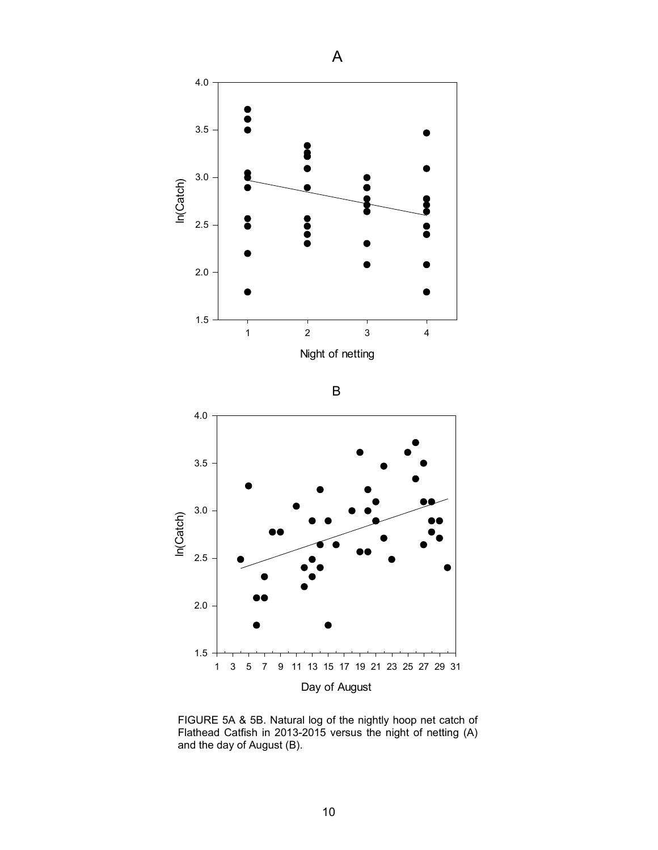

FIGURE 5A & 5B. Natural log of the nightly hoop net catch of Flathead Catfish in 2013-2015 versus the night of netting (A) and the day of August (B).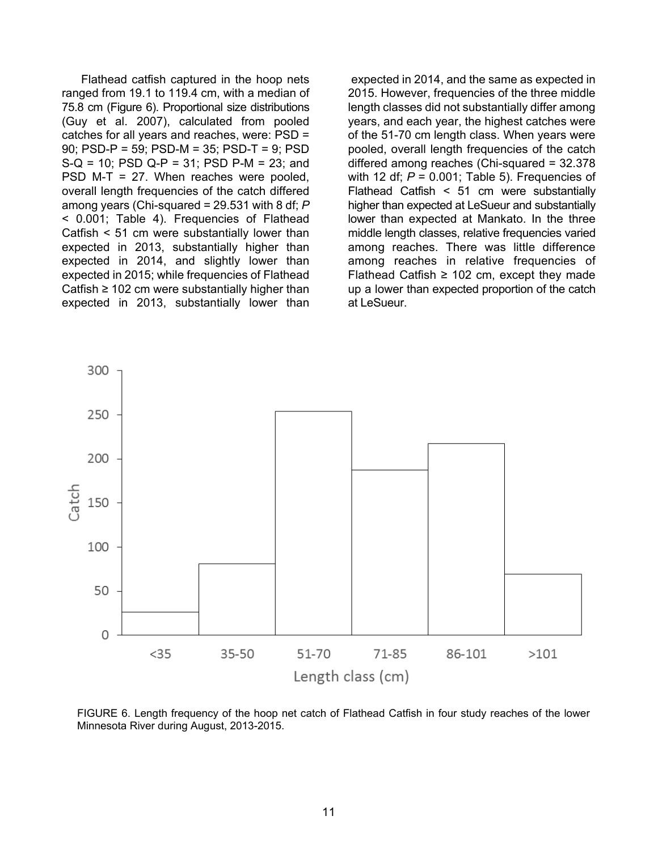Flathead catfish captured in the hoop nets ranged from 19.1 to 119.4 cm, with a median of 75.8 cm (Figure 6). Proportional size distributions (Guy et al. 2007), calculated from pooled catches for all years and reaches, were: PSD = 90; PSD-P = 59; PSD-M = 35; PSD-T = 9; PSD S-Q = 10; PSD Q-P = 31; PSD P-M = 23; and PSD M-T = 27. When reaches were pooled, overall length frequencies of the catch differed among years (Chi-squared = 29.531 with 8 df; *P* < 0.001; Table 4). Frequencies of Flathead Catfish < 51 cm were substantially lower than expected in 2013, substantially higher than expected in 2014, and slightly lower than expected in 2015; while frequencies of Flathead Catfish  $\geq 102$  cm were substantially higher than expected in 2013, substantially lower than

expected in 2014, and the same as expected in 2015. However, frequencies of the three middle length classes did not substantially differ among years, and each year, the highest catches were of the 51-70 cm length class. When years were pooled, overall length frequencies of the catch differed among reaches (Chi-squared = 32.378 with 12 df;  $P = 0.001$ ; Table 5). Frequencies of Flathead Catfish < 51 cm were substantially higher than expected at LeSueur and substantially lower than expected at Mankato. In the three middle length classes, relative frequencies varied among reaches. There was little difference among reaches in relative frequencies of Flathead Catfish  $\geq$  102 cm, except they made up a lower than expected proportion of the catch at LeSueur.



FIGURE 6. Length frequency of the hoop net catch of Flathead Catfish in four study reaches of the lower Minnesota River during August, 2013-2015.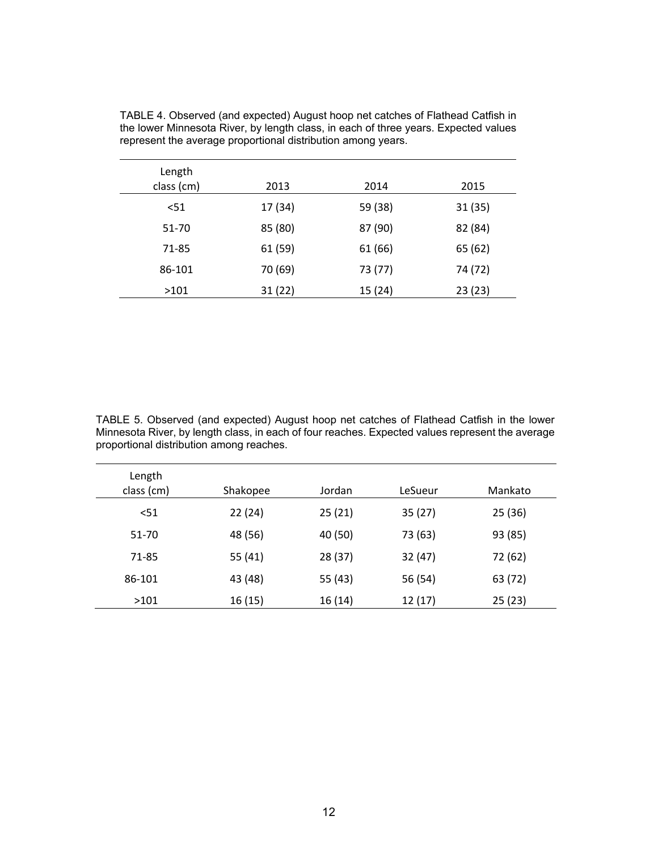| Length<br>class (cm) | 2013    | 2014    | 2015    |
|----------------------|---------|---------|---------|
| < 51                 | 17 (34) | 59 (38) | 31(35)  |
| 51-70                | 85 (80) | 87 (90) | 82 (84) |
| 71-85                | 61 (59) | 61 (66) | 65 (62) |
| 86-101               | 70 (69) | 73 (77) | 74 (72) |
| >101                 | 31(22)  | 15 (24) | 23(23)  |

TABLE 4. Observed (and expected) August hoop net catches of Flathead Catfish in the lower Minnesota River, by length class, in each of three years. Expected values represent the average proportional distribution among years.

TABLE 5. Observed (and expected) August hoop net catches of Flathead Catfish in the lower Minnesota River, by length class, in each of four reaches. Expected values represent the average proportional distribution among reaches.

| Length<br>class (cm) | Shakopee | Jordan  | LeSueur | Mankato |
|----------------------|----------|---------|---------|---------|
| $51$                 | 22(24)   | 25(21)  | 35(27)  | 25(36)  |
| 51-70                | 48 (56)  | 40 (50) | 73 (63) | 93 (85) |
| 71-85                | 55 (41)  | 28 (37) | 32 (47) | 72 (62) |
| 86-101               | 43 (48)  | 55 (43) | 56 (54) | 63 (72) |
| >101                 | 16 (15)  | 16 (14) | 12 (17) | 25(23)  |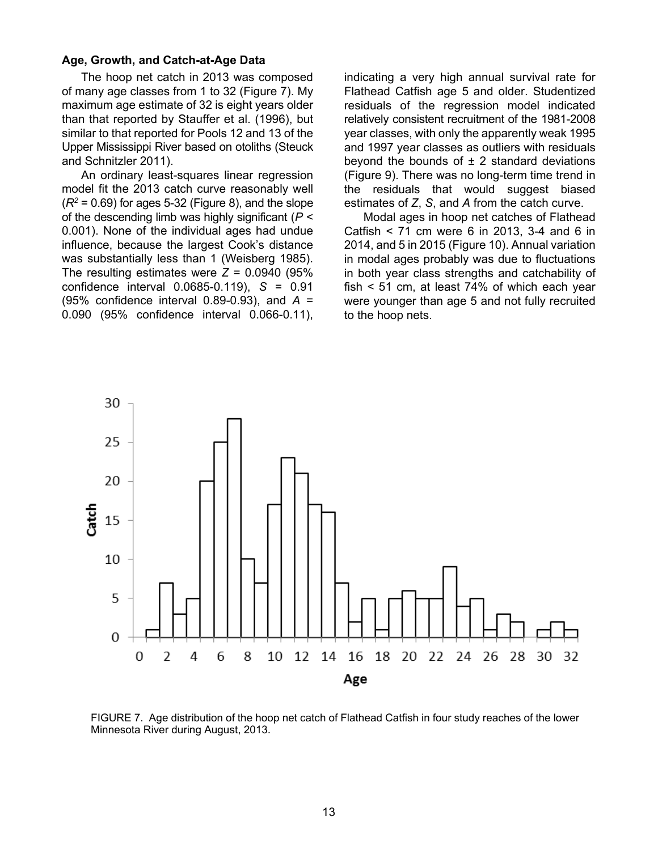### **Age, Growth, and Catch-at-Age Data**

The hoop net catch in 2013 was composed of many age classes from 1 to 32 (Figure 7). My maximum age estimate of 32 is eight years older than that reported by Stauffer et al. (1996), but similar to that reported for Pools 12 and 13 of the Upper Mississippi River based on otoliths (Steuck and Schnitzler 2011).

An ordinary least-squares linear regression model fit the 2013 catch curve reasonably well  $(R^2 = 0.69)$  for ages 5-32 (Figure 8), and the slope of the descending limb was highly significant (*P* < 0.001). None of the individual ages had undue influence, because the largest Cook's distance was substantially less than 1 (Weisberg 1985). The resulting estimates were  $Z = 0.0940$  (95%) confidence interval 0.0685-0.119), *S* = 0.91 (95% confidence interval 0.89-0.93), and *A* = 0.090 (95% confidence interval 0.066-0.11),

indicating a very high annual survival rate for Flathead Catfish age 5 and older. Studentized residuals of the regression model indicated relatively consistent recruitment of the 1981-2008 year classes, with only the apparently weak 1995 and 1997 year classes as outliers with residuals beyond the bounds of  $\pm$  2 standard deviations (Figure 9). There was no long-term time trend in the residuals that would suggest biased estimates of *Z*, *S*, and *A* from the catch curve.

Modal ages in hoop net catches of Flathead Catfish < 71 cm were 6 in 2013, 3-4 and 6 in 2014, and 5 in 2015 (Figure 10). Annual variation in modal ages probably was due to fluctuations in both year class strengths and catchability of fish < 51 cm, at least 74% of which each year were younger than age 5 and not fully recruited to the hoop nets.



FIGURE 7. Age distribution of the hoop net catch of Flathead Catfish in four study reaches of the lower Minnesota River during August, 2013.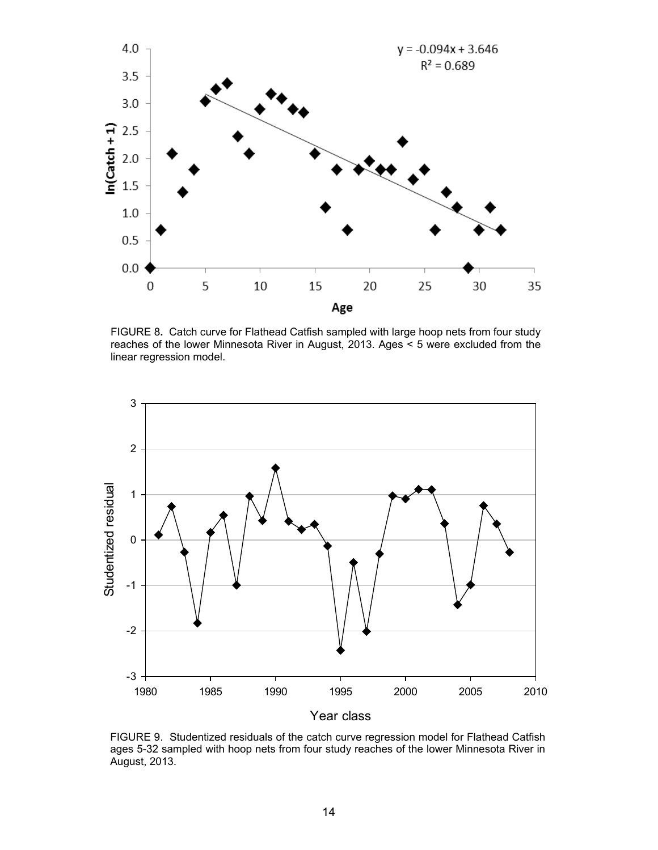

FIGURE 8**.** Catch curve for Flathead Catfish sampled with large hoop nets from four study reaches of the lower Minnesota River in August, 2013. Ages < 5 were excluded from the linear regression model.



FIGURE 9. Studentized residuals of the catch curve regression model for Flathead Catfish ages 5-32 sampled with hoop nets from four study reaches of the lower Minnesota River in August, 2013.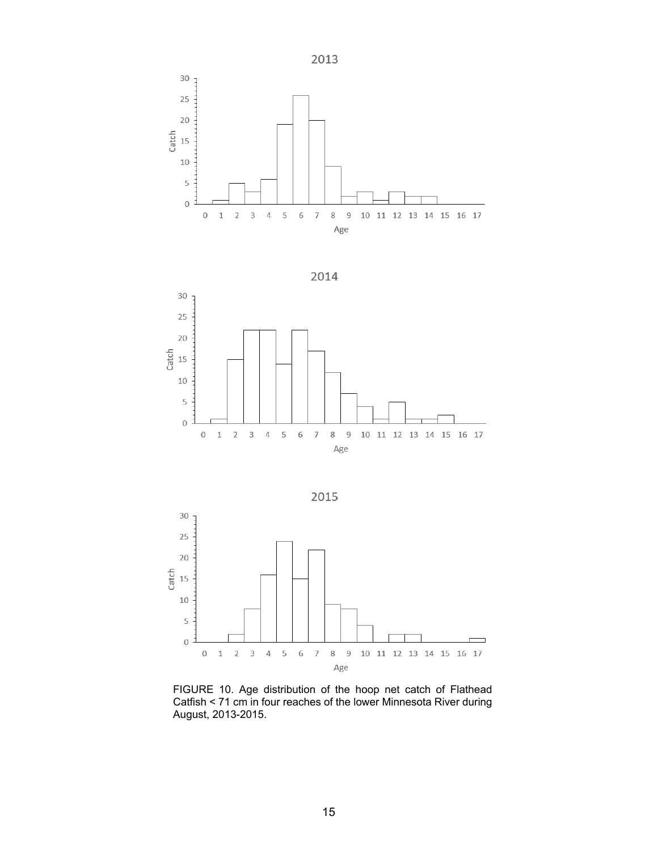







FIGURE 10. Age distribution of the hoop net catch of Flathead Catfish < 71 cm in four reaches of the lower Minnesota River during August, 2013-2015.

15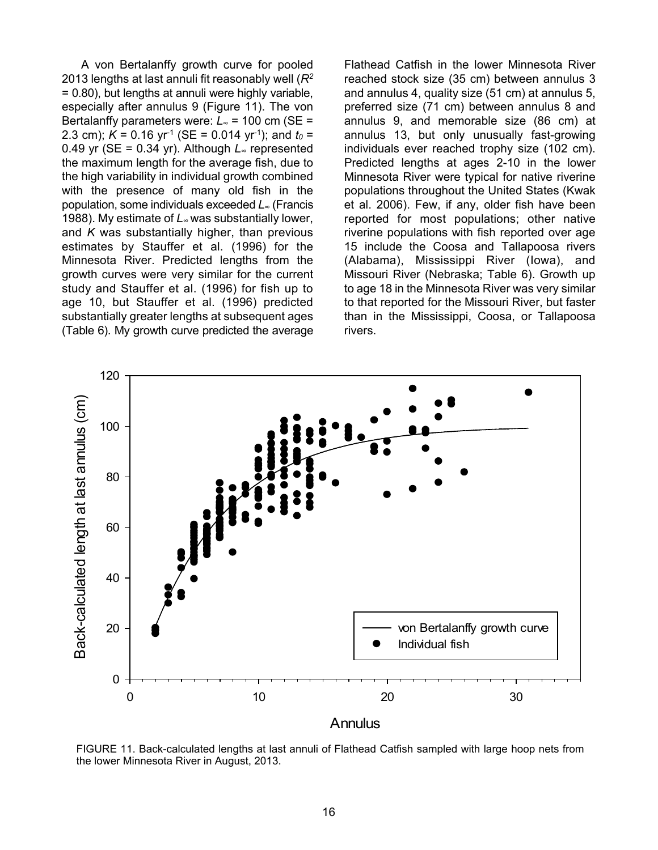A von Bertalanffy growth curve for pooled 2013 lengths at last annuli fit reasonably well (*R2* = 0.80), but lengths at annuli were highly variable, especially after annulus 9 (Figure 11). The von Bertalanffy parameters were: *L<sup>∞</sup>* = 100 cm (SE = 2.3 cm);  $K = 0.16$  yr<sup>-1</sup> (SE = 0.014 yr<sup>-1</sup>); and  $t_0 =$ 0.49 yr (SE = 0.34 yr). Although *L<sup>∞</sup>* represented the maximum length for the average fish, due to the high variability in individual growth combined with the presence of many old fish in the population, some individuals exceeded *L<sup>∞</sup>* (Francis 1988). My estimate of *L∞* was substantially lower, and *K* was substantially higher, than previous estimates by Stauffer et al. (1996) for the Minnesota River. Predicted lengths from the growth curves were very similar for the current study and Stauffer et al. (1996) for fish up to age 10, but Stauffer et al. (1996) predicted substantially greater lengths at subsequent ages (Table 6). My growth curve predicted the average

Flathead Catfish in the lower Minnesota River reached stock size (35 cm) between annulus 3 and annulus 4, quality size (51 cm) at annulus 5, preferred size (71 cm) between annulus 8 and annulus 9, and memorable size (86 cm) at annulus 13, but only unusually fast-growing individuals ever reached trophy size (102 cm). Predicted lengths at ages 2-10 in the lower Minnesota River were typical for native riverine populations throughout the United States (Kwak et al. 2006). Few, if any, older fish have been reported for most populations; other native riverine populations with fish reported over age 15 include the Coosa and Tallapoosa rivers (Alabama), Mississippi River (Iowa), and Missouri River (Nebraska; Table 6). Growth up to age 18 in the Minnesota River was very similar to that reported for the Missouri River, but faster than in the Mississippi, Coosa, or Tallapoosa rivers.



FIGURE 11. Back-calculated lengths at last annuli of Flathead Catfish sampled with large hoop nets from the lower Minnesota River in August, 2013.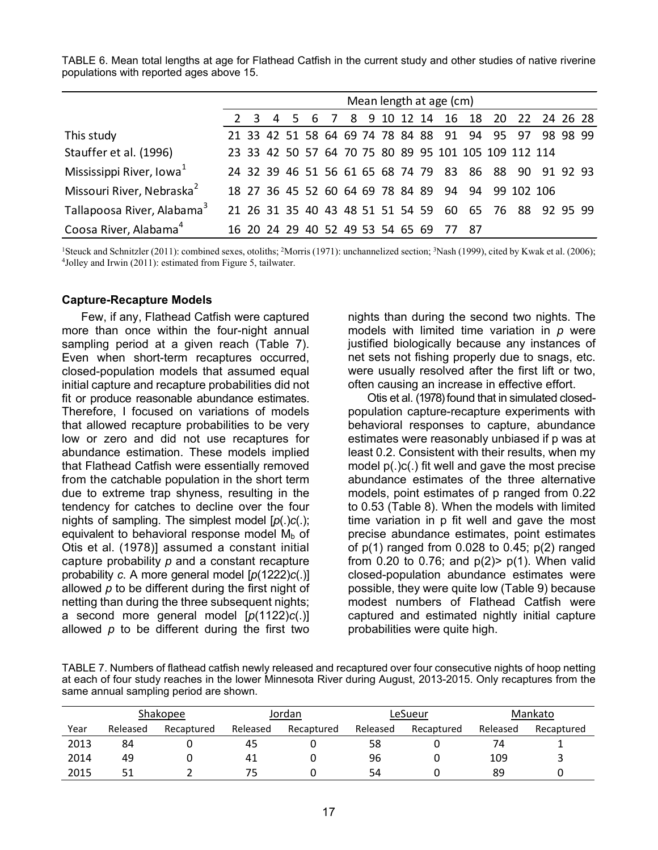|                                        | Mean length at age (cm) |  |  |  |  |  |  |                                  |       |  |                                                      |                                                       |  |
|----------------------------------------|-------------------------|--|--|--|--|--|--|----------------------------------|-------|--|------------------------------------------------------|-------------------------------------------------------|--|
|                                        | $2 \quad 3$             |  |  |  |  |  |  |                                  |       |  |                                                      | 4 5 6 7 8 9 10 12 14 16 18 20 22 24 26 28             |  |
| This study                             |                         |  |  |  |  |  |  |                                  |       |  |                                                      | 21 33 42 51 58 64 69 74 78 84 88 91 94 95 97 98 98 99 |  |
| Stauffer et al. (1996)                 |                         |  |  |  |  |  |  |                                  |       |  | 23 33 42 50 57 64 70 75 80 89 95 101 105 109 112 114 |                                                       |  |
| Mississippi River, Iowa <sup>1</sup>   |                         |  |  |  |  |  |  |                                  |       |  |                                                      | 24 32 39 46 51 56 61 65 68 74 79 83 86 88 90 91 92 93 |  |
| Missouri River, Nebraska <sup>2</sup>  |                         |  |  |  |  |  |  |                                  |       |  | 18 27 36 45 52 60 64 69 78 84 89 94 94 99 102 106    |                                                       |  |
| Tallapoosa River, Alabama <sup>3</sup> |                         |  |  |  |  |  |  |                                  |       |  |                                                      | 21 26 31 35 40 43 48 51 51 54 59 60 65 76 88 92 95 99 |  |
| Coosa River, Alabama <sup>4</sup>      |                         |  |  |  |  |  |  | 16 20 24 29 40 52 49 53 54 65 69 | 77 87 |  |                                                      |                                                       |  |

TABLE 6. Mean total lengths at age for Flathead Catfish in the current study and other studies of native riverine populations with reported ages above 15.

<sup>1</sup>Steuck and Schnitzler (2011): combined sexes, otoliths; <sup>2</sup>Morris (1971): unchannelized section; <sup>3</sup>Nash (1999), cited by Kwak et al. (2006); <sup>4</sup>Jolley and Irwin (2011): estimated from Figure 5, tailwater.

#### **Capture-Recapture Models**

Few, if any, Flathead Catfish were captured more than once within the four-night annual sampling period at a given reach (Table 7). Even when short-term recaptures occurred, closed-population models that assumed equal initial capture and recapture probabilities did not fit or produce reasonable abundance estimates. Therefore, I focused on variations of models that allowed recapture probabilities to be very low or zero and did not use recaptures for abundance estimation. These models implied that Flathead Catfish were essentially removed from the catchable population in the short term due to extreme trap shyness, resulting in the tendency for catches to decline over the four nights of sampling. The simplest model [*p*(.)*c*(.); equivalent to behavioral response model  $M_b$  of Otis et al. (1978)] assumed a constant initial capture probability *p* and a constant recapture probability *c*. A more general model [*p*(1222)*c*(.)] allowed *p* to be different during the first night of netting than during the three subsequent nights; a second more general model [*p*(1122)*c*(.)] allowed *p* to be different during the first two

nights than during the second two nights. The models with limited time variation in *p* were justified biologically because any instances of net sets not fishing properly due to snags, etc. were usually resolved after the first lift or two, often causing an increase in effective effort.

Otis et al. (1978) found that in simulated closedpopulation capture-recapture experiments with behavioral responses to capture, abundance estimates were reasonably unbiased if p was at least 0.2. Consistent with their results, when my model p(.)c(.) fit well and gave the most precise abundance estimates of the three alternative models, point estimates of p ranged from 0.22 to 0.53 (Table 8). When the models with limited time variation in p fit well and gave the most precise abundance estimates, point estimates of  $p(1)$  ranged from 0.028 to 0.45;  $p(2)$  ranged from 0.20 to 0.76; and  $p(2)$   $p(1)$ . When valid closed-population abundance estimates were possible, they were quite low (Table 9) because modest numbers of Flathead Catfish were captured and estimated nightly initial capture probabilities were quite high.

TABLE 7. Numbers of flathead catfish newly released and recaptured over four consecutive nights of hoop netting at each of four study reaches in the lower Minnesota River during August, 2013-2015. Only recaptures from the same annual sampling period are shown.

|      | Shakopee |            |          | Jordan     |          | LeSueur    | Mankato  |            |  |
|------|----------|------------|----------|------------|----------|------------|----------|------------|--|
| Year | Released | Recaptured | Released | Recaptured | Released | Recaptured | Released | Recaptured |  |
| 2013 | 84       |            | 45       |            | 58       |            | 74       |            |  |
| 2014 | 49       |            | 41       |            | 96       |            | 109      |            |  |
| 2015 | 51       |            | 75       |            | 54       |            | 89       |            |  |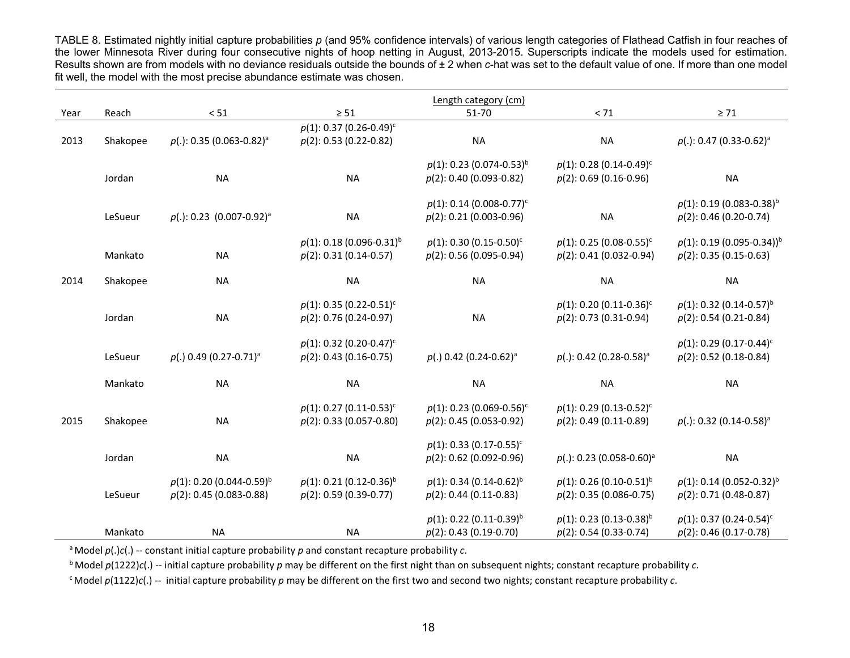TABLE 8. Estimated nightly initial capture probabilities *p* (and 95% confidence intervals) of various length categories of Flathead Catfish in four reaches of the lower Minnesota River during four consecutive nights of hoop netting in August, 2013-2015. Superscripts indicate the models used for estimation. Results shown are from models with no deviance residuals outside the bounds of ± 2 when *c*-hat was set to the default value of one. If more than one model fit well, the model with the most precise abundance estimate was chosen.

|      |          |                                                                       |                                                                      | Length category (cm)                                                  |                                                                       |                                                                       |
|------|----------|-----------------------------------------------------------------------|----------------------------------------------------------------------|-----------------------------------------------------------------------|-----------------------------------------------------------------------|-----------------------------------------------------------------------|
| Year | Reach    | $< 51$                                                                | $\geq 51$                                                            | 51-70                                                                 | $< 71$                                                                | $\geq 71$                                                             |
| 2013 | Shakopee | $p(.)$ : 0.35 (0.063-0.82) <sup>a</sup>                               | $p(1)$ : 0.37 (0.26-0.49) <sup>c</sup><br>$p(2)$ : 0.53 (0.22-0.82)  | <b>NA</b>                                                             | <b>NA</b>                                                             | $p(.)$ : 0.47 (0.33-0.62) <sup>a</sup>                                |
|      | Jordan   | <b>NA</b>                                                             | <b>NA</b>                                                            | $p(1)$ : 0.23 (0.074-0.53) <sup>b</sup><br>$p(2)$ : 0.40 (0.093-0.82) | $p(1)$ : 0.28 (0.14-0.49) <sup>c</sup><br>$p(2)$ : 0.69 (0.16-0.96)   | <b>NA</b>                                                             |
|      | LeSueur  | $p(.)$ : 0.23 (0.007-0.92) <sup>a</sup>                               | <b>NA</b>                                                            | $p(1)$ : 0.14 (0.008-0.77) <sup>c</sup><br>$p(2)$ : 0.21 (0.003-0.96) | <b>NA</b>                                                             | $p(1)$ : 0.19 (0.083-0.38) <sup>b</sup><br>$p(2)$ : 0.46 (0.20-0.74)  |
|      | Mankato  | <b>NA</b>                                                             | $p(1)$ : 0.18 (0.096-0.31) <sup>b</sup><br>$p(2): 0.31 (0.14-0.57)$  | $p(1)$ : 0.30 (0.15-0.50) <sup>c</sup><br>$p(2)$ : 0.56 (0.095-0.94)  | $p(1)$ : 0.25 (0.08-0.55) <sup>c</sup><br>$p(2)$ : 0.41 (0.032-0.94)  | $p(1)$ : 0.19 (0.095-0.34)) <sup>b</sup><br>$p(2)$ : 0.35 (0.15-0.63) |
| 2014 | Shakopee | <b>NA</b>                                                             | <b>NA</b>                                                            | <b>NA</b>                                                             | <b>NA</b>                                                             | <b>NA</b>                                                             |
|      | Jordan   | <b>NA</b>                                                             | $p(1)$ : 0.35 (0.22-0.51) <sup>c</sup><br>$p(2): 0.76 (0.24-0.97)$   | <b>NA</b>                                                             | $p(1)$ : 0.20 (0.11-0.36) <sup>c</sup><br>$p(2): 0.73 (0.31 - 0.94)$  | $p(1)$ : 0.32 (0.14-0.57) <sup>b</sup><br>$p(2)$ : 0.54 (0.21-0.84)   |
|      | LeSueur  | $p(.)$ 0.49 (0.27-0.71) <sup>a</sup>                                  | $p(1)$ : 0.32 (0.20-0.47) <sup>c</sup><br>$p(2)$ : 0.43 (0.16-0.75)  | $p(.)$ 0.42 (0.24-0.62) <sup>a</sup>                                  | $p(.)$ : 0.42 (0.28-0.58) <sup>a</sup>                                | $p(1)$ : 0.29 (0.17-0.44) <sup>c</sup><br>$p(2)$ : 0.52 (0.18-0.84)   |
|      | Mankato  | <b>NA</b>                                                             | <b>NA</b>                                                            | <b>NA</b>                                                             | <b>NA</b>                                                             | <b>NA</b>                                                             |
| 2015 | Shakopee | <b>NA</b>                                                             | $p(1)$ : 0.27 (0.11-0.53) <sup>c</sup><br>$p(2)$ : 0.33 (0.057-0.80) | $p(1)$ : 0.23 (0.069-0.56) <sup>c</sup><br>$p(2)$ : 0.45 (0.053-0.92) | $p(1)$ : 0.29 (0.13-0.52) <sup>c</sup><br>$p(2)$ : 0.49 (0.11-0.89)   | $p(.)$ : 0.32 (0.14-0.58) <sup>a</sup>                                |
|      | Jordan   | <b>NA</b>                                                             | <b>NA</b>                                                            | $p(1)$ : 0.33 (0.17-0.55) <sup>c</sup><br>$p(2)$ : 0.62 (0.092-0.96)  | $p(.)$ : 0.23 (0.058-0.60) <sup>a</sup>                               | <b>NA</b>                                                             |
|      | LeSueur  | $p(1)$ : 0.20 (0.044-0.59) <sup>b</sup><br>$p(2)$ : 0.45 (0.083-0.88) | $p(1)$ : 0.21 (0.12-0.36) <sup>b</sup><br>$p(2): 0.59 (0.39-0.77)$   | $p(1)$ : 0.34 (0.14-0.62) <sup>b</sup><br>$p(2)$ : 0.44 (0.11-0.83)   | $p(1)$ : 0.26 (0.10-0.51) <sup>b</sup><br>$p(2): 0.35 (0.086 - 0.75)$ | $p(1)$ : 0.14 (0.052-0.32) <sup>b</sup><br>$p(2): 0.71 (0.48-0.87)$   |
|      | Mankato  | <b>NA</b>                                                             | <b>NA</b>                                                            | $p(1)$ : 0.22 (0.11-0.39) <sup>b</sup><br>$p(2)$ : 0.43 (0.19-0.70)   | $p(1)$ : 0.23 (0.13-0.38) <sup>b</sup><br>$p(2)$ : 0.54 (0.33-0.74)   | $p(1)$ : 0.37 (0.24-0.54) <sup>c</sup><br>$p(2)$ : 0.46 (0.17-0.78)   |

a Model *p*(.)*c*(.) -- constant initial capture probability *p* and constant recapture probability *c*.

 $\overline{b}$  Model  $p(1222)c(.)$  -- initial capture probability p may be different on the first night than on subsequent nights; constant recapture probability *c*.

<sup>c</sup> Model  $p(1122)c(.)$  -- initial capture probability  $p$  may be different on the first two and second two nights; constant recapture probability  $c$ .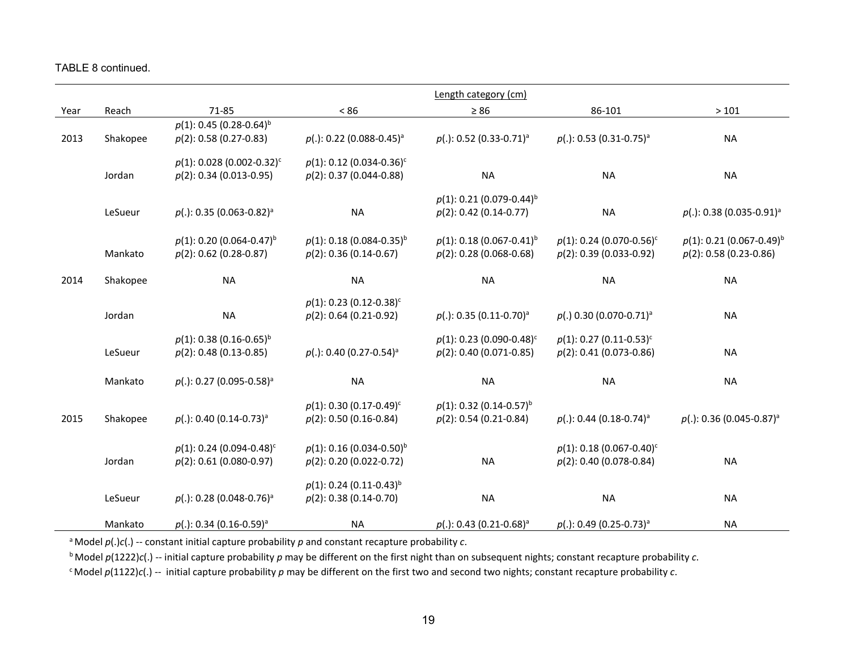TABLE 8 continued.

|      |          |                                          |                                         | Length category (cm)                    |                                         |                                         |
|------|----------|------------------------------------------|-----------------------------------------|-----------------------------------------|-----------------------------------------|-----------------------------------------|
| Year | Reach    | 71-85                                    | $< 86$                                  | $\geq 86$                               | 86-101                                  | >101                                    |
|      |          | $p(1)$ : 0.45 (0.28-0.64) <sup>b</sup>   |                                         |                                         |                                         |                                         |
| 2013 | Shakopee | $p(2)$ : 0.58 (0.27-0.83)                | $p(.)$ : 0.22 (0.088-0.45) <sup>a</sup> | $p(.)$ : 0.52 (0.33-0.71) <sup>a</sup>  | $p(.)$ : 0.53 (0.31-0.75) <sup>a</sup>  | <b>NA</b>                               |
|      |          | $p(1)$ : 0.028 (0.002-0.32) <sup>c</sup> | $p(1)$ : 0.12 (0.034-0.36) <sup>c</sup> |                                         |                                         |                                         |
|      | Jordan   | $p(2)$ : 0.34 (0.013-0.95)               | $p(2)$ : 0.37 (0.044-0.88)              | <b>NA</b>                               | <b>NA</b>                               | <b>NA</b>                               |
|      |          |                                          |                                         | $p(1)$ : 0.21 (0.079-0.44) <sup>b</sup> |                                         |                                         |
|      | LeSueur  | $p(.)$ : 0.35 (0.063-0.82) <sup>a</sup>  | <b>NA</b>                               | $p(2): 0.42 (0.14 - 0.77)$              | <b>NA</b>                               | $p(.)$ : 0.38 (0.035-0.91) <sup>a</sup> |
|      |          | $p(1)$ : 0.20 (0.064-0.47) <sup>b</sup>  | $p(1)$ : 0.18 (0.084-0.35) <sup>b</sup> | $p(1)$ : 0.18 (0.067-0.41) <sup>b</sup> | $p(1)$ : 0.24 (0.070-0.56) <sup>c</sup> | $p(1)$ : 0.21 (0.067-0.49) <sup>b</sup> |
|      | Mankato  | $p(2)$ : 0.62 (0.28-0.87)                | $p(2)$ : 0.36 (0.14-0.67)               | $p(2)$ : 0.28 (0.068-0.68)              | $p(2)$ : 0.39 (0.033-0.92)              | $p(2)$ : 0.58 (0.23-0.86)               |
| 2014 | Shakopee | <b>NA</b>                                | <b>NA</b>                               | <b>NA</b>                               | <b>NA</b>                               | <b>NA</b>                               |
|      |          |                                          |                                         |                                         |                                         |                                         |
|      |          | <b>NA</b>                                | $p(1)$ : 0.23 (0.12-0.38) <sup>c</sup>  |                                         |                                         | <b>NA</b>                               |
|      | Jordan   |                                          | $p(2)$ : 0.64 (0.21-0.92)               | $p(.)$ : 0.35 (0.11-0.70) <sup>a</sup>  | $p(.)$ 0.30 (0.070-0.71) <sup>a</sup>   |                                         |
|      |          | $p(1)$ : 0.38 (0.16-0.65) <sup>b</sup>   |                                         | $p(1)$ : 0.23 (0.090-0.48) <sup>c</sup> | $p(1)$ : 0.27 (0.11-0.53) <sup>c</sup>  |                                         |
|      | LeSueur  | $p(2)$ : 0.48 (0.13-0.85)                | $p(.)$ : 0.40 (0.27-0.54) <sup>a</sup>  | $p(2)$ : 0.40 (0.071-0.85)              | $p(2)$ : 0.41 (0.073-0.86)              | <b>NA</b>                               |
|      | Mankato  | $p(.)$ : 0.27 (0.095-0.58) <sup>a</sup>  | <b>NA</b>                               | <b>NA</b>                               | <b>NA</b>                               | <b>NA</b>                               |
|      |          |                                          |                                         |                                         |                                         |                                         |
|      |          |                                          | $p(1)$ : 0.30 (0.17-0.49) <sup>c</sup>  | $p(1)$ : 0.32 (0.14-0.57) <sup>b</sup>  |                                         |                                         |
| 2015 | Shakopee | $p(.)$ : 0.40 (0.14-0.73) <sup>a</sup>   | $p(2)$ : 0.50 (0.16-0.84)               | $p(2)$ : 0.54 (0.21-0.84)               | $p(.)$ : 0.44 (0.18-0.74) <sup>a</sup>  | $p(.)$ : 0.36 (0.045-0.87) <sup>a</sup> |
|      |          | $p(1)$ : 0.24 (0.094-0.48) <sup>c</sup>  | $p(1)$ : 0.16 (0.034-0.50) <sup>b</sup> |                                         | $p(1)$ : 0.18 (0.067-0.40) <sup>c</sup> |                                         |
|      | Jordan   | $p(2)$ : 0.61 (0.080-0.97)               | $p(2)$ : 0.20 (0.022-0.72)              | <b>NA</b>                               | $p(2)$ : 0.40 (0.078-0.84)              | <b>NA</b>                               |
|      |          |                                          | $p(1)$ : 0.24 (0.11-0.43) <sup>b</sup>  |                                         |                                         |                                         |
|      | LeSueur  | $p(.)$ : 0.28 (0.048-0.76) <sup>a</sup>  | $p(2)$ : 0.38 (0.14-0.70)               | <b>NA</b>                               | <b>NA</b>                               | <b>NA</b>                               |
|      | Mankato  | $p(.)$ : 0.34 (0.16-0.59) <sup>a</sup>   | NA                                      | $p(.)$ : 0.43 (0.21-0.68) <sup>a</sup>  | $p(.)$ : 0.49 (0.25-0.73) <sup>a</sup>  | <b>NA</b>                               |

a Model *p*(.)*c*(.) -- constant initial capture probability *p* and constant recapture probability *c*.

b Model *p*(1222)*c*(.) -- initial capture probability *p* may be different on the first night than on subsequent nights; constant recapture probability *c*.

c Model *p*(1122)*c*(.) -- initial capture probability *p* may be different on the first two and second two nights; constant recapture probability *c*.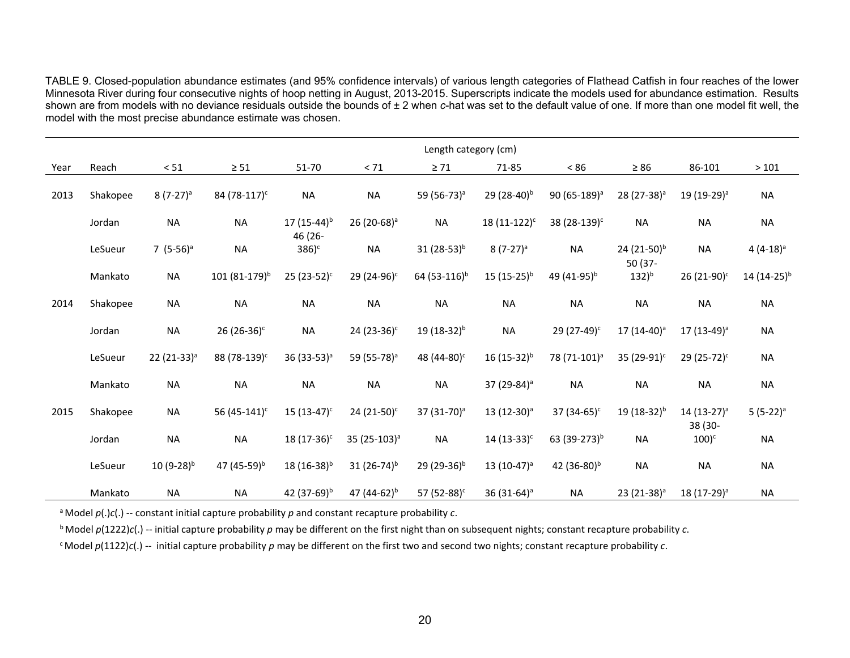TABLE 9. Closed-population abundance estimates (and 95% confidence intervals) of various length categories of Flathead Catfish in four reaches of the lower Minnesota River during four consecutive nights of hoop netting in August, 2013-2015. Superscripts indicate the models used for abundance estimation. Results shown are from models with no deviance residuals outside the bounds of ± 2 when *c*-hat was set to the default value of one. If more than one model fit well, the model with the most precise abundance estimate was chosen.

|      |          |                         |                           |                             |                          | Length category (cm)     |                           |                          |                                    |                                    |                 |
|------|----------|-------------------------|---------------------------|-----------------------------|--------------------------|--------------------------|---------------------------|--------------------------|------------------------------------|------------------------------------|-----------------|
| Year | Reach    | < 51                    | $\geq 51$                 | 51-70                       | $< 71\,$                 | $\geq 71$                | 71-85                     | < 86                     | $\geq 86$                          | 86-101                             | >101            |
| 2013 | Shakopee | $8(7-27)^a$             | 84 (78-117) <sup>c</sup>  | <b>NA</b>                   | <b>NA</b>                | 59 (56-73) <sup>a</sup>  | 29 (28-40) <sup>b</sup>   | 90 (65-189) <sup>a</sup> | 28 (27-38) <sup>a</sup>            | 19 (19-29) <sup>a</sup>            | <b>NA</b>       |
|      | Jordan   | <b>NA</b>               | <b>NA</b>                 | 17 $(15-44)^{b}$<br>46 (26- | 26 (20-68) <sup>a</sup>  | <b>NA</b>                | 18 (11-122) <sup>c</sup>  | 38 (28-139) <sup>c</sup> | <b>NA</b>                          | <b>NA</b>                          | <b>NA</b>       |
|      | LeSueur  | 7 $(5-56)^a$            | <b>NA</b>                 | $386$ <sup>c</sup>          | <b>NA</b>                | $31(28-53)^{b}$          | $8(7-27)^a$               | <b>NA</b>                | 24 (21-50) <sup>b</sup><br>50 (37- | <b>NA</b>                          | $4(4-18)^a$     |
|      | Mankato  | <b>NA</b>               | 101 (81-179) <sup>b</sup> | $25(23-52)^c$               | 29 (24-96) <sup>c</sup>  | 64 (53-116) <sup>b</sup> | $15(15-25)^{b}$           | 49 (41-95) <sup>b</sup>  | $132)^{b}$                         | 26 (21-90) <sup>c</sup>            | $14(14-25)^{b}$ |
| 2014 | Shakopee | <b>NA</b>               | <b>NA</b>                 | <b>NA</b>                   | <b>NA</b>                | <b>NA</b>                | <b>NA</b>                 | <b>NA</b>                | <b>NA</b>                          | <b>NA</b>                          | <b>NA</b>       |
|      | Jordan   | <b>NA</b>               | 26 $(26-36)^c$            | <b>NA</b>                   | 24 (23-36) $c$           | $19(18-32)^{b}$          | <b>NA</b>                 | 29 (27-49) <sup>c</sup>  | 17 (14-40) <sup>a</sup>            | 17 (13-49) <sup>a</sup>            | <b>NA</b>       |
|      | LeSueur  | 22 (21-33) <sup>a</sup> | 88 (78-139) <sup>c</sup>  | 36 (33-53) <sup>a</sup>     | 59 (55-78) <sup>a</sup>  | 48 (44-80) <sup>c</sup>  | $16(15-32)^{b}$           | 78 (71-101) <sup>a</sup> | 35 (29-91) <sup>c</sup>            | 29 (25-72) <sup>c</sup>            | <b>NA</b>       |
|      | Mankato  | <b>NA</b>               | <b>NA</b>                 | <b>NA</b>                   | <b>NA</b>                | <b>NA</b>                | 37 (29-84) <sup>a</sup>   | <b>NA</b>                | <b>NA</b>                          | <b>NA</b>                          | <b>NA</b>       |
| 2015 | Shakopee | <b>NA</b>               | 56 (45-141) <sup>c</sup>  | $15(13-47)^c$               | 24 (21-50) <sup>c</sup>  | 37 (31-70) <sup>a</sup>  | $13(12-30)^a$             | 37 (34-65) $c$           | 19 (18-32) <sup>b</sup>            | 14 (13-27) <sup>a</sup><br>38 (30- | $5(5-22)^a$     |
|      | Jordan   | <b>NA</b>               | <b>NA</b>                 | 18 (17-36) <sup>c</sup>     | 35 (25-103) <sup>a</sup> | <b>NA</b>                | $14(13-33)^c$             | 63 (39-273) <sup>b</sup> | <b>NA</b>                          | $100$ <sup>c</sup>                 | <b>NA</b>       |
|      | LeSueur  | $10(9-28)^{b}$          | 47 (45-59) <sup>b</sup>   | $18(16-38)^{b}$             | 31 $(26-74)^{b}$         | 29 (29-36) <sup>b</sup>  | $13(10-47)^a$             | 42 (36-80) <sup>b</sup>  | <b>NA</b>                          | <b>NA</b>                          | <b>NA</b>       |
|      | Mankato  | <b>NA</b>               | <b>NA</b>                 | 42 (37-69) <sup>b</sup>     | 47 $(44-62)^{b}$         | 57 $(52-88)^c$           | 36 $(31-64)$ <sup>a</sup> | <b>NA</b>                | 23 (21-38) <sup>a</sup>            | 18 (17-29) <sup>a</sup>            | <b>NA</b>       |

a Model *p*(.)*c*(.) -- constant initial capture probability *p* and constant recapture probability *c*.

b Model *p*(1222)*c*(.) -- initial capture probability *p* may be different on the first night than on subsequent nights; constant recapture probability *c*.

c Model *p*(1122)*c*(.) -- initial capture probability *p* may be different on the first two and second two nights; constant recapture probability *c*.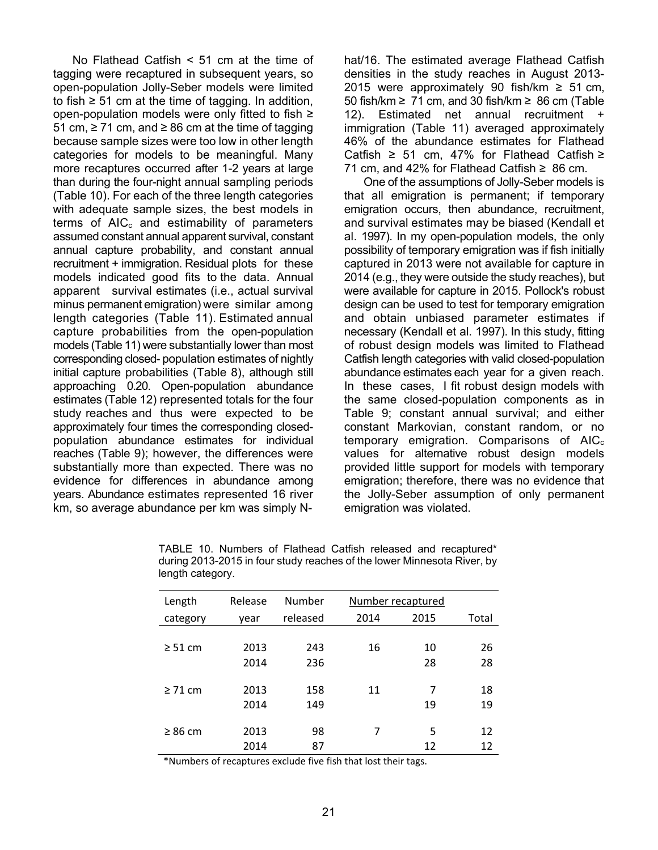No Flathead Catfish < 51 cm at the time of tagging were recaptured in subsequent years, so open-population Jolly-Seber models were limited to fish  $\geq$  51 cm at the time of tagging. In addition, open-population models were only fitted to fish ≥ 51 cm,  $≥ 71$  cm, and  $≥ 86$  cm at the time of tagging because sample sizes were too low in other length categories for models to be meaningful. Many more recaptures occurred after 1-2 years at large than during the four-night annual sampling periods (Table 10). For each of the three length categories with adequate sample sizes, the best models in terms of  $AIC<sub>c</sub>$  and estimability of parameters assumed constant annual apparent survival, constant annual capture probability, and constant annual recruitment + immigration. Residual plots for these models indicated good fits to the data. Annual apparent survival estimates (i.e., actual survival minus permanent emigration) were similar among length categories (Table 11). Estimated annual capture probabilities from the open-population models (Table 11) were substantially lower than most corresponding closed- population estimates of nightly initial capture probabilities (Table 8), although still approaching 0.20. Open-population abundance estimates (Table 12) represented totals for the four study reaches and thus were expected to be approximately four times the corresponding closedpopulation abundance estimates for individual reaches (Table 9); however, the differences were substantially more than expected. There was no evidence for differences in abundance among years. Abundance estimates represented 16 river km, so average abundance per km was simply N-

hat/16. The estimated average Flathead Catfish densities in the study reaches in August 2013- 2015 were approximately 90 fish/km ≥ 51 cm, 50 fish/km ≥ 71 cm, and 30 fish/km ≥ 86 cm (Table 12). Estimated net annual recruitment + immigration (Table 11) averaged approximately 46% of the abundance estimates for Flathead Catfish ≥ 51 cm, 47% for Flathead Catfish ≥ 71 cm, and 42% for Flathead Catfish  $\geq$  86 cm.

One of the assumptions of Jolly-Seber models is that all emigration is permanent; if temporary emigration occurs, then abundance, recruitment, and survival estimates may be biased (Kendall et al. 1997). In my open-population models, the only possibility of temporary emigration was if fish initially captured in 2013 were not available for capture in 2014 (e.g., they were outside the study reaches), but were available for capture in 2015. Pollock's robust design can be used to test for temporary emigration and obtain unbiased parameter estimates if necessary (Kendall et al. 1997). In this study, fitting of robust design models was limited to Flathead Catfish length categories with valid closed-population abundance estimates each year for a given reach. In these cases, I fit robust design models with the same closed-population components as in Table 9; constant annual survival; and either constant Markovian, constant random, or no temporary emigration. Comparisons of  $AIC<sub>c</sub>$ values for alternative robust design models provided little support for models with temporary emigration; therefore, there was no evidence that the Jolly-Seber assumption of only permanent emigration was violated.

| Length       | Release | Number   | Number recaptured |      |       |
|--------------|---------|----------|-------------------|------|-------|
| category     | vear    | released | 2014              | 2015 | Total |
|              |         |          |                   |      |       |
| $\geq$ 51 cm | 2013    | 243      | 16                | 10   | 26    |
|              | 2014    | 236      |                   | 28   | 28    |
|              |         |          |                   |      |       |
| $\geq$ 71 cm | 2013    | 158      | 11                | 7    | 18    |
|              | 2014    | 149      |                   | 19   | 19    |
|              |         |          |                   |      |       |
| $\geq 86$ cm | 2013    | 98       | 7                 | 5    | 12    |
|              | 2014    | 87       |                   | 12   | 12    |

TABLE 10. Numbers of Flathead Catfish released and recaptured\* during 2013-2015 in four study reaches of the lower Minnesota River, by length category.

\*Numbers of recaptures exclude five fish that lost their tags.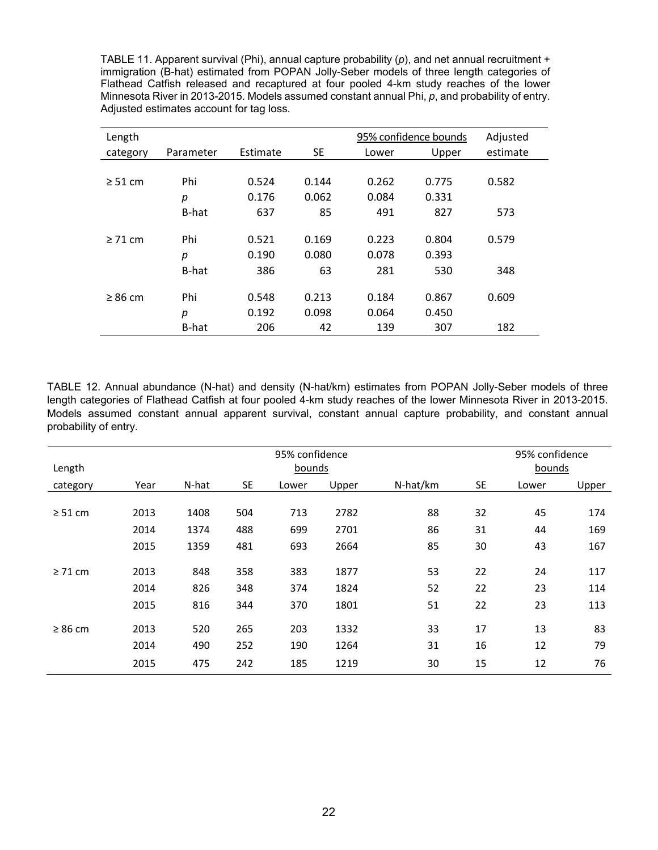TABLE 11. Apparent survival (Phi), annual capture probability (*p*), and net annual recruitment + immigration (B-hat) estimated from POPAN Jolly-Seber models of three length categories of Flathead Catfish released and recaptured at four pooled 4-km study reaches of the lower Minnesota River in 2013-2015. Models assumed constant annual Phi, *p*, and probability of entry. Adjusted estimates account for tag loss.

| Length       |           |          |           |       | 95% confidence bounds | Adjusted |
|--------------|-----------|----------|-----------|-------|-----------------------|----------|
| category     | Parameter | Estimate | <b>SE</b> | Lower | Upper                 | estimate |
|              |           |          |           |       |                       |          |
| $\geq$ 51 cm | Phi       | 0.524    | 0.144     | 0.262 | 0.775                 | 0.582    |
|              | р         | 0.176    | 0.062     | 0.084 | 0.331                 |          |
|              | B-hat     | 637      | 85        | 491   | 827                   | 573      |
| $\geq$ 71 cm | Phi       | 0.521    | 0.169     | 0.223 | 0.804                 | 0.579    |
|              | р         | 0.190    | 0.080     | 0.078 | 0.393                 |          |
|              | B-hat     | 386      | 63        | 281   | 530                   | 348      |
| $\geq 86$ cm | Phi       | 0.548    | 0.213     | 0.184 | 0.867                 | 0.609    |
|              | р         | 0.192    | 0.098     | 0.064 | 0.450                 |          |
|              | B-hat     | 206      | 42        | 139   | 307                   | 182      |

TABLE 12. Annual abundance (N-hat) and density (N-hat/km) estimates from POPAN Jolly-Seber models of three length categories of Flathead Catfish at four pooled 4-km study reaches of the lower Minnesota River in 2013-2015. Models assumed constant annual apparent survival, constant annual capture probability, and constant annual probability of entry.

|              | 95% confidence |       |           |       |       |          |           | 95% confidence |       |  |
|--------------|----------------|-------|-----------|-------|-------|----------|-----------|----------------|-------|--|
| Length       | bounds         |       |           |       |       |          |           | bounds         |       |  |
| category     | Year           | N-hat | <b>SE</b> | Lower | Upper | N-hat/km | <b>SE</b> | Lower          | Upper |  |
|              |                |       |           |       |       |          |           |                |       |  |
| $\geq$ 51 cm | 2013           | 1408  | 504       | 713   | 2782  | 88       | 32        | 45             | 174   |  |
|              | 2014           | 1374  | 488       | 699   | 2701  | 86       | 31        | 44             | 169   |  |
|              | 2015           | 1359  | 481       | 693   | 2664  | 85       | 30        | 43             | 167   |  |
|              |                |       |           |       |       |          |           |                |       |  |
| $\geq$ 71 cm | 2013           | 848   | 358       | 383   | 1877  | 53       | 22        | 24             | 117   |  |
|              | 2014           | 826   | 348       | 374   | 1824  | 52       | 22        | 23             | 114   |  |
|              | 2015           | 816   | 344       | 370   | 1801  | 51       | 22        | 23             | 113   |  |
| $\geq 86$ cm | 2013           | 520   | 265       | 203   | 1332  | 33       | 17        | 13             | 83    |  |
|              | 2014           | 490   | 252       | 190   | 1264  | 31       | 16        | 12             | 79    |  |
|              | 2015           | 475   | 242       | 185   | 1219  | 30       | 15        | 12             | 76    |  |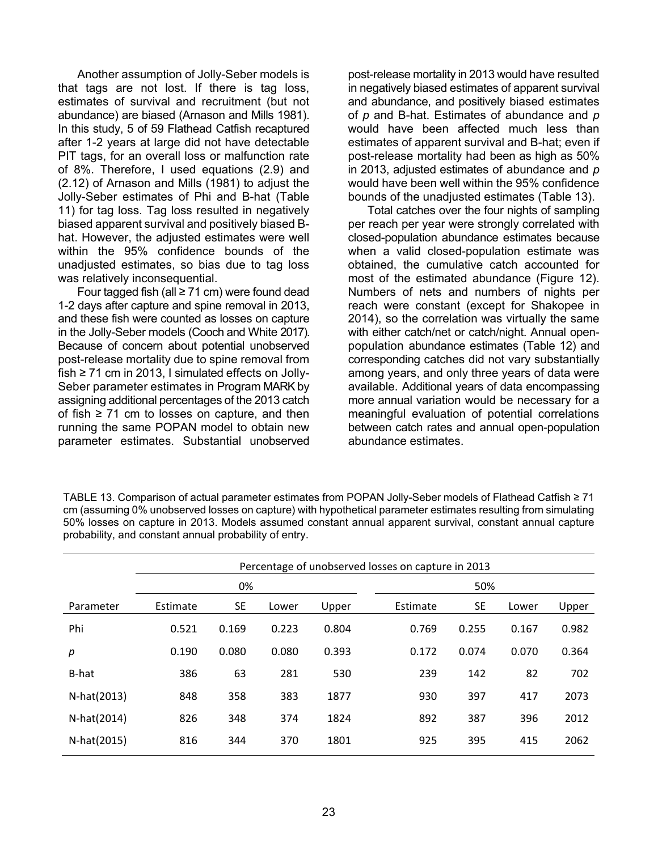Another assumption of Jolly-Seber models is that tags are not lost. If there is tag loss, estimates of survival and recruitment (but not abundance) are biased (Arnason and Mills 1981). In this study, 5 of 59 Flathead Catfish recaptured after 1-2 years at large did not have detectable PIT tags, for an overall loss or malfunction rate of 8%. Therefore, I used equations (2.9) and (2.12) of Arnason and Mills (1981) to adjust the Jolly-Seber estimates of Phi and B-hat (Table 11) for tag loss. Tag loss resulted in negatively biased apparent survival and positively biased Bhat. However, the adjusted estimates were well within the 95% confidence bounds of the unadjusted estimates, so bias due to tag loss was relatively inconsequential.

Four tagged fish (all ≥ 71 cm) were found dead 1-2 days after capture and spine removal in 2013, and these fish were counted as losses on capture in the Jolly-Seber models (Cooch and White 2017). Because of concern about potential unobserved post-release mortality due to spine removal from fish ≥ 71 cm in 2013, I simulated effects on Jolly-Seber parameter estimates in Program MARK by assigning additional percentages of the 2013 catch of fish  $≥ 71$  cm to losses on capture, and then running the same POPAN model to obtain new parameter estimates. Substantial unobserved

post-release mortality in 2013 would have resulted in negatively biased estimates of apparent survival and abundance, and positively biased estimates of *p* and B-hat. Estimates of abundance and *p* would have been affected much less than estimates of apparent survival and B-hat; even if post-release mortality had been as high as 50% in 2013, adjusted estimates of abundance and *p* would have been well within the 95% confidence bounds of the unadjusted estimates (Table 13).

Total catches over the four nights of sampling per reach per year were strongly correlated with closed-population abundance estimates because when a valid closed-population estimate was obtained, the cumulative catch accounted for most of the estimated abundance (Figure 12). Numbers of nets and numbers of nights per reach were constant (except for Shakopee in 2014), so the correlation was virtually the same with either catch/net or catch/night. Annual openpopulation abundance estimates (Table 12) and corresponding catches did not vary substantially among years, and only three years of data were available. Additional years of data encompassing more annual variation would be necessary for a meaningful evaluation of potential correlations between catch rates and annual open-population abundance estimates.

|             | Percentage of unobserved losses on capture in 2013 |           |       |       |          |           |       |       |  |  |  |  |  |
|-------------|----------------------------------------------------|-----------|-------|-------|----------|-----------|-------|-------|--|--|--|--|--|
|             |                                                    | 0%        |       |       |          | 50%       |       |       |  |  |  |  |  |
| Parameter   | Estimate                                           | <b>SE</b> | Lower | Upper | Estimate | <b>SE</b> | Lower | Upper |  |  |  |  |  |
| Phi         | 0.521                                              | 0.169     | 0.223 | 0.804 | 0.769    | 0.255     | 0.167 | 0.982 |  |  |  |  |  |
| р           | 0.190                                              | 0.080     | 0.080 | 0.393 | 0.172    | 0.074     | 0.070 | 0.364 |  |  |  |  |  |
| B-hat       | 386                                                | 63        | 281   | 530   | 239      | 142       | 82    | 702   |  |  |  |  |  |
| N-hat(2013) | 848                                                | 358       | 383   | 1877  | 930      | 397       | 417   | 2073  |  |  |  |  |  |
| N-hat(2014) | 826                                                | 348       | 374   | 1824  | 892      | 387       | 396   | 2012  |  |  |  |  |  |
| N-hat(2015) | 816                                                | 344       | 370   | 1801  | 925      | 395       | 415   | 2062  |  |  |  |  |  |

TABLE 13. Comparison of actual parameter estimates from POPAN Jolly-Seber models of Flathead Catfish ≥ 71 cm (assuming 0% unobserved losses on capture) with hypothetical parameter estimates resulting from simulating 50% losses on capture in 2013. Models assumed constant annual apparent survival, constant annual capture probability, and constant annual probability of entry.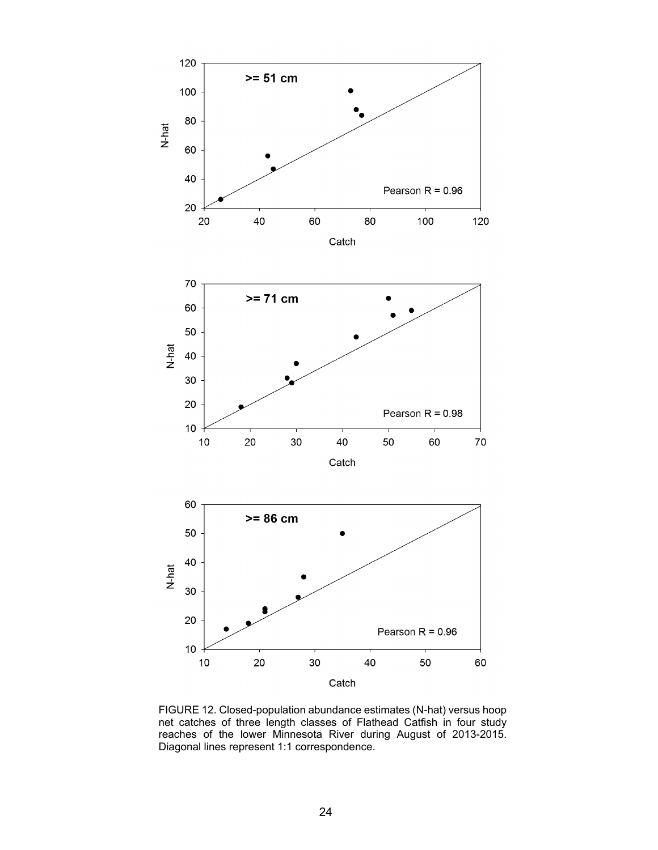

FIGURE 12. Closed-population abundance estimates (N-hat) versus hoop net catches of three length classes of Flathead Catfish in four study reaches of the lower Minnesota River during August of 2013-2015. Diagonal lines represent 1:1 correspondence.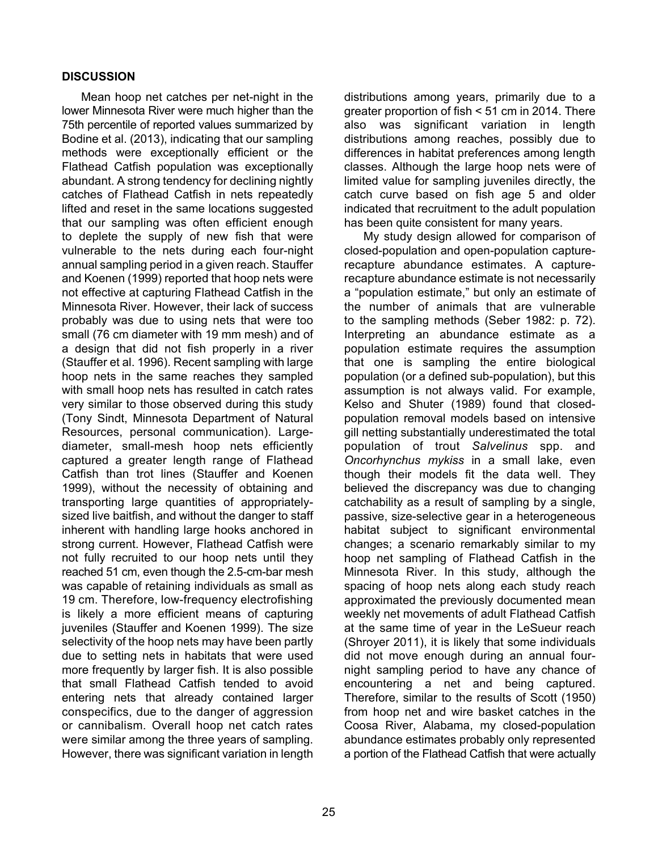## **DISCUSSION**

Mean hoop net catches per net-night in the lower Minnesota River were much higher than the 75th percentile of reported values summarized by Bodine et al. (2013), indicating that our sampling methods were exceptionally efficient or the Flathead Catfish population was exceptionally abundant. A strong tendency for declining nightly catches of Flathead Catfish in nets repeatedly lifted and reset in the same locations suggested that our sampling was often efficient enough to deplete the supply of new fish that were vulnerable to the nets during each four-night annual sampling period in a given reach. Stauffer and Koenen (1999) reported that hoop nets were not effective at capturing Flathead Catfish in the Minnesota River. However, their lack of success probably was due to using nets that were too small (76 cm diameter with 19 mm mesh) and of a design that did not fish properly in a river (Stauffer et al. 1996). Recent sampling with large hoop nets in the same reaches they sampled with small hoop nets has resulted in catch rates very similar to those observed during this study (Tony Sindt, Minnesota Department of Natural Resources, personal communication). Largediameter, small-mesh hoop nets efficiently captured a greater length range of Flathead Catfish than trot lines (Stauffer and Koenen 1999), without the necessity of obtaining and transporting large quantities of appropriatelysized live baitfish, and without the danger to staff inherent with handling large hooks anchored in strong current. However, Flathead Catfish were not fully recruited to our hoop nets until they reached 51 cm, even though the 2.5-cm-bar mesh was capable of retaining individuals as small as 19 cm. Therefore, low-frequency electrofishing is likely a more efficient means of capturing juveniles (Stauffer and Koenen 1999). The size selectivity of the hoop nets may have been partly due to setting nets in habitats that were used more frequently by larger fish. It is also possible that small Flathead Catfish tended to avoid entering nets that already contained larger conspecifics, due to the danger of aggression or cannibalism. Overall hoop net catch rates were similar among the three years of sampling. However, there was significant variation in length

distributions among years, primarily due to a greater proportion of fish < 51 cm in 2014. There also was significant variation in length distributions among reaches, possibly due to differences in habitat preferences among length classes. Although the large hoop nets were of limited value for sampling juveniles directly, the catch curve based on fish age 5 and older indicated that recruitment to the adult population has been quite consistent for many years.

My study design allowed for comparison of closed-population and open-population capturerecapture abundance estimates. A capturerecapture abundance estimate is not necessarily a "population estimate," but only an estimate of the number of animals that are vulnerable to the sampling methods (Seber 1982: p. 72). Interpreting an abundance estimate as a population estimate requires the assumption that one is sampling the entire biological population (or a defined sub-population), but this assumption is not always valid. For example, Kelso and Shuter (1989) found that closedpopulation removal models based on intensive gill netting substantially underestimated the total population of trout *Salvelinus* spp. and *Oncorhynchus mykiss* in a small lake, even though their models fit the data well. They believed the discrepancy was due to changing catchability as a result of sampling by a single, passive, size-selective gear in a heterogeneous habitat subject to significant environmental changes; a scenario remarkably similar to my hoop net sampling of Flathead Catfish in the Minnesota River. In this study, although the spacing of hoop nets along each study reach approximated the previously documented mean weekly net movements of adult Flathead Catfish at the same time of year in the LeSueur reach (Shroyer 2011), it is likely that some individuals did not move enough during an annual fournight sampling period to have any chance of encountering a net and being captured. Therefore, similar to the results of Scott (1950) from hoop net and wire basket catches in the Coosa River, Alabama, my closed-population abundance estimates probably only represented a portion of the Flathead Catfish that were actually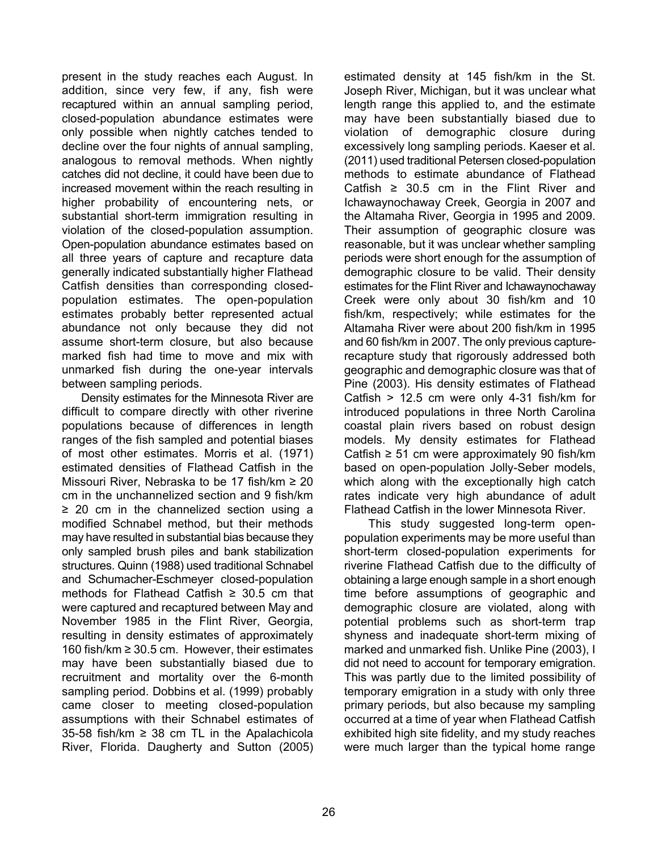present in the study reaches each August. In addition, since very few, if any, fish were recaptured within an annual sampling period, closed-population abundance estimates were only possible when nightly catches tended to decline over the four nights of annual sampling, analogous to removal methods. When nightly catches did not decline, it could have been due to increased movement within the reach resulting in higher probability of encountering nets, or substantial short-term immigration resulting in violation of the closed-population assumption. Open-population abundance estimates based on all three years of capture and recapture data generally indicated substantially higher Flathead Catfish densities than corresponding closedpopulation estimates. The open-population estimates probably better represented actual abundance not only because they did not assume short-term closure, but also because marked fish had time to move and mix with unmarked fish during the one-year intervals between sampling periods.

Density estimates for the Minnesota River are difficult to compare directly with other riverine populations because of differences in length ranges of the fish sampled and potential biases of most other estimates. Morris et al. (1971) estimated densities of Flathead Catfish in the Missouri River, Nebraska to be 17 fish/km ≥ 20 cm in the unchannelized section and 9 fish/km ≥ 20 cm in the channelized section using a modified Schnabel method, but their methods may have resulted in substantial bias because they only sampled brush piles and bank stabilization structures. Quinn (1988) used traditional Schnabel and Schumacher-Eschmeyer closed-population methods for Flathead Catfish ≥ 30.5 cm that were captured and recaptured between May and November 1985 in the Flint River, Georgia, resulting in density estimates of approximately 160 fish/km ≥ 30.5 cm. However, their estimates may have been substantially biased due to recruitment and mortality over the 6-month sampling period. Dobbins et al. (1999) probably came closer to meeting closed-population assumptions with their Schnabel estimates of 35-58 fish/km ≥ 38 cm TL in the Apalachicola River, Florida. Daugherty and Sutton (2005) estimated density at 145 fish/km in the St. Joseph River, Michigan, but it was unclear what length range this applied to, and the estimate may have been substantially biased due to violation of demographic closure during excessively long sampling periods. Kaeser et al. (2011) used traditional Petersen closed-population methods to estimate abundance of Flathead Catfish  $\geq$  30.5 cm in the Flint River and Ichawaynochaway Creek, Georgia in 2007 and the Altamaha River, Georgia in 1995 and 2009. Their assumption of geographic closure was reasonable, but it was unclear whether sampling periods were short enough for the assumption of demographic closure to be valid. Their density estimates for the Flint River and Ichawaynochaway Creek were only about 30 fish/km and 10 fish/km, respectively; while estimates for the Altamaha River were about 200 fish/km in 1995 and 60 fish/km in 2007. The only previous capturerecapture study that rigorously addressed both geographic and demographic closure was that of Pine (2003). His density estimates of Flathead Catfish > 12.5 cm were only 4-31 fish/km for introduced populations in three North Carolina coastal plain rivers based on robust design models. My density estimates for Flathead Catfish  $\geq 51$  cm were approximately 90 fish/km based on open-population Jolly-Seber models, which along with the exceptionally high catch rates indicate very high abundance of adult Flathead Catfish in the lower Minnesota River.

This study suggested long-term openpopulation experiments may be more useful than short-term closed-population experiments for riverine Flathead Catfish due to the difficulty of obtaining a large enough sample in a short enough time before assumptions of geographic and demographic closure are violated, along with potential problems such as short-term trap shyness and inadequate short-term mixing of marked and unmarked fish. Unlike Pine (2003), I did not need to account for temporary emigration. This was partly due to the limited possibility of temporary emigration in a study with only three primary periods, but also because my sampling occurred at a time of year when Flathead Catfish exhibited high site fidelity, and my study reaches were much larger than the typical home range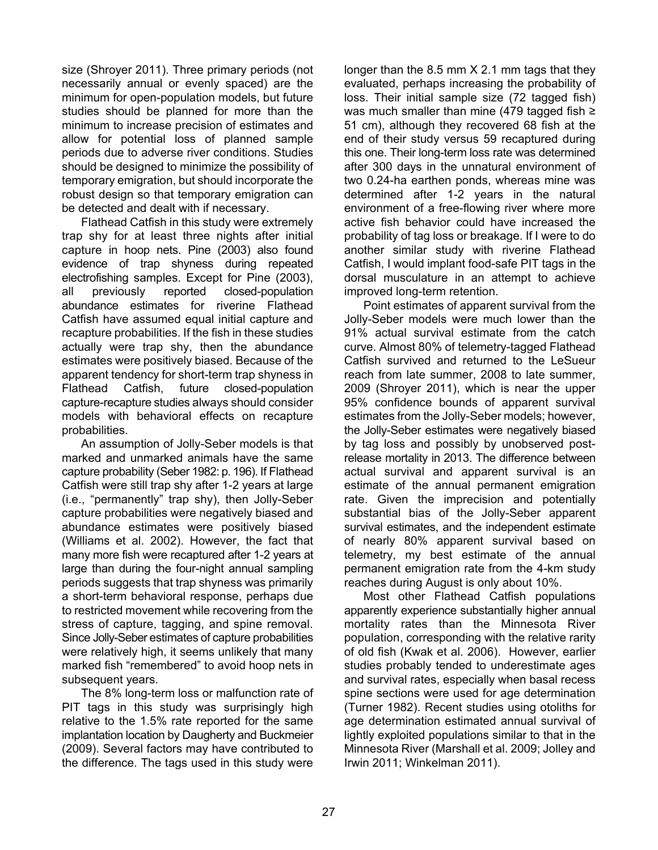size (Shroyer 2011). Three primary periods (not necessarily annual or evenly spaced) are the minimum for open-population models, but future studies should be planned for more than the minimum to increase precision of estimates and allow for potential loss of planned sample periods due to adverse river conditions. Studies should be designed to minimize the possibility of temporary emigration, but should incorporate the robust design so that temporary emigration can be detected and dealt with if necessary.

Flathead Catfish in this study were extremely trap shy for at least three nights after initial capture in hoop nets. Pine (2003) also found evidence of trap shyness during repeated electrofishing samples. Except for Pine (2003), all previously reported closed-population abundance estimates for riverine Flathead Catfish have assumed equal initial capture and recapture probabilities. If the fish in these studies actually were trap shy, then the abundance estimates were positively biased. Because of the apparent tendency for short-term trap shyness in Flathead Catfish, future closed-population capture-recapture studies always should consider models with behavioral effects on recapture probabilities.

An assumption of Jolly-Seber models is that marked and unmarked animals have the same capture probability (Seber 1982: p. 196). If Flathead Catfish were still trap shy after 1-2 years at large (i.e., "permanently" trap shy), then Jolly-Seber capture probabilities were negatively biased and abundance estimates were positively biased (Williams et al. 2002). However, the fact that many more fish were recaptured after 1-2 years at large than during the four-night annual sampling periods suggests that trap shyness was primarily a short-term behavioral response, perhaps due to restricted movement while recovering from the stress of capture, tagging, and spine removal. Since Jolly-Seber estimates of capture probabilities were relatively high, it seems unlikely that many marked fish "remembered" to avoid hoop nets in subsequent years.

The 8% long-term loss or malfunction rate of PIT tags in this study was surprisingly high relative to the 1.5% rate reported for the same implantation location by Daugherty and Buckmeier (2009). Several factors may have contributed to the difference. The tags used in this study were

longer than the 8.5 mm X 2.1 mm tags that they evaluated, perhaps increasing the probability of loss. Their initial sample size (72 tagged fish) was much smaller than mine (479 tagged fish ≥ 51 cm), although they recovered 68 fish at the end of their study versus 59 recaptured during this one. Their long-term loss rate was determined after 300 days in the unnatural environment of two 0.24-ha earthen ponds, whereas mine was determined after 1-2 years in the natural environment of a free-flowing river where more active fish behavior could have increased the probability of tag loss or breakage. If I were to do another similar study with riverine Flathead Catfish, I would implant food-safe PIT tags in the dorsal musculature in an attempt to achieve improved long-term retention.

Point estimates of apparent survival from the Jolly-Seber models were much lower than the 91% actual survival estimate from the catch curve. Almost 80% of telemetry-tagged Flathead Catfish survived and returned to the LeSueur reach from late summer, 2008 to late summer, 2009 (Shroyer 2011), which is near the upper 95% confidence bounds of apparent survival estimates from the Jolly-Seber models; however, the Jolly-Seber estimates were negatively biased by tag loss and possibly by unobserved postrelease mortality in 2013. The difference between actual survival and apparent survival is an estimate of the annual permanent emigration rate. Given the imprecision and potentially substantial bias of the Jolly-Seber apparent survival estimates, and the independent estimate of nearly 80% apparent survival based on telemetry, my best estimate of the annual permanent emigration rate from the 4-km study reaches during August is only about 10%.

Most other Flathead Catfish populations apparently experience substantially higher annual mortality rates than the Minnesota River population, corresponding with the relative rarity of old fish (Kwak et al. 2006). However, earlier studies probably tended to underestimate ages and survival rates, especially when basal recess spine sections were used for age determination (Turner 1982). Recent studies using otoliths for age determination estimated annual survival of lightly exploited populations similar to that in the Minnesota River (Marshall et al. 2009; Jolley and Irwin 2011; Winkelman 2011).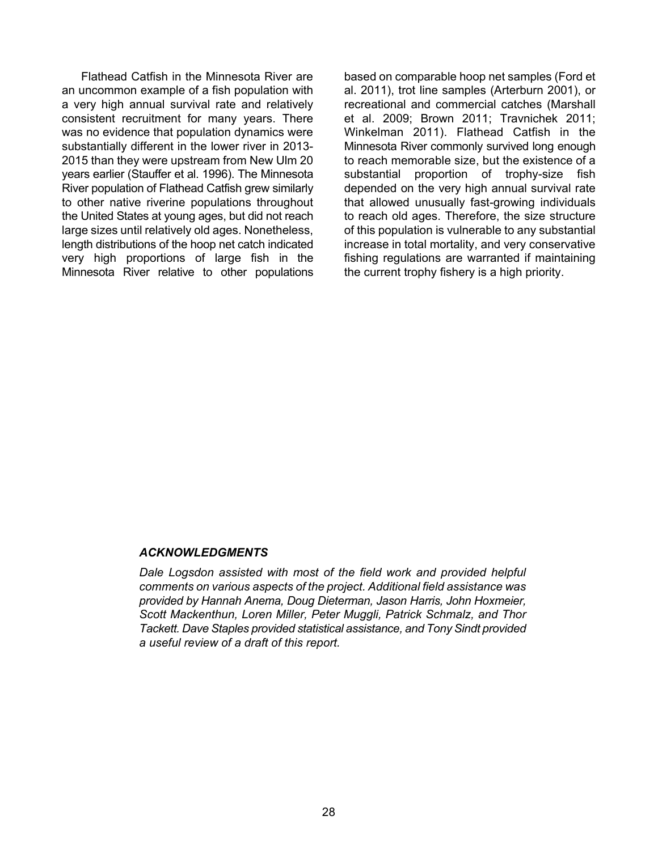Flathead Catfish in the Minnesota River are an uncommon example of a fish population with a very high annual survival rate and relatively consistent recruitment for many years. There was no evidence that population dynamics were substantially different in the lower river in 2013- 2015 than they were upstream from New Ulm 20 years earlier (Stauffer et al. 1996). The Minnesota River population of Flathead Catfish grew similarly to other native riverine populations throughout the United States at young ages, but did not reach large sizes until relatively old ages. Nonetheless, length distributions of the hoop net catch indicated very high proportions of large fish in the Minnesota River relative to other populations based on comparable hoop net samples (Ford et al. 2011), trot line samples (Arterburn 2001), or recreational and commercial catches (Marshall et al. 2009; Brown 2011; Travnichek 2011; Winkelman 2011). Flathead Catfish in the Minnesota River commonly survived long enough to reach memorable size, but the existence of a substantial proportion of trophy-size fish depended on the very high annual survival rate that allowed unusually fast-growing individuals to reach old ages. Therefore, the size structure of this population is vulnerable to any substantial increase in total mortality, and very conservative fishing regulations are warranted if maintaining the current trophy fishery is a high priority.

#### *ACKNOWLEDGMENTS*

*Dale Logsdon assisted with most of the field work and provided helpful comments on various aspects of the project. Additional field assistance was provided by Hannah Anema, Doug Dieterman, Jason Harris, John Hoxmeier, Scott Mackenthun, Loren Miller, Peter Muggli, Patrick Schmalz, and Thor Tackett. Dave Staples provided statistical assistance, and Tony Sindt provided a useful review of a draft of this report.*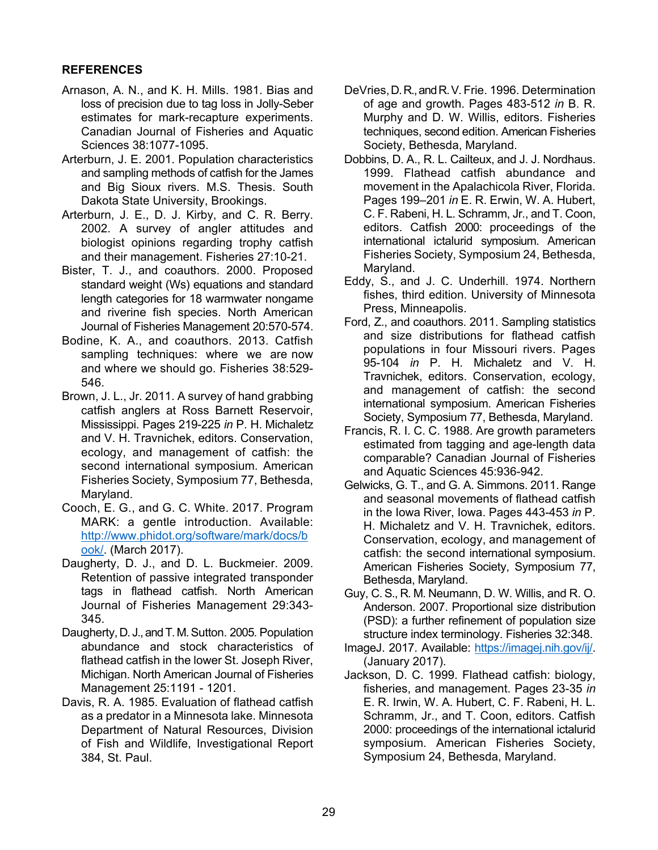# **REFERENCES**

- Arnason, A. N., and K. H. Mills. 1981. Bias and loss of precision due to tag loss in Jolly-Seber estimates for mark-recapture experiments. Canadian Journal of Fisheries and Aquatic Sciences 38:1077-1095.
- Arterburn, J. E. 2001. Population characteristics and sampling methods of catfish for the James and Big Sioux rivers. M.S. Thesis. South Dakota State University, Brookings.
- Arterburn, J. E., D. J. Kirby, and C. R. Berry. 2002. A survey of angler attitudes and biologist opinions regarding trophy catfish and their management. Fisheries 27:10-21.
- Bister, T. J., and coauthors. 2000. Proposed standard weight (Ws) equations and standard length categories for 18 warmwater nongame and riverine fish species. North American Journal of Fisheries Management 20:570-574.
- Bodine, K. A., and coauthors. 2013. Catfish sampling techniques: where we are now and where we should go. Fisheries 38:529- 546.
- Brown, J. L., Jr. 2011. A survey of hand grabbing catfish anglers at Ross Barnett Reservoir, Mississippi. Pages 219-225 *in* P. H. Michaletz and V. H. Travnichek, editors. Conservation, ecology, and management of catfish: the second international symposium. American Fisheries Society, Symposium 77, Bethesda, Maryland.
- Cooch, E. G., and G. C. White. 2017. Program MARK: a gentle introduction. Available: [http://www.phidot.org/software/mark/docs/b](http://www.phidot.org/software/mark/docs/book/) [ook/.](http://www.phidot.org/software/mark/docs/book/) (March 2017).
- Daugherty, D. J., and D. L. Buckmeier. 2009. Retention of passive integrated transponder tags in flathead catfish. North American Journal of Fisheries Management 29:343- 345.
- Daugherty, D. J., and T. M. Sutton. 2005. Population abundance and stock characteristics of flathead catfish in the lower St. Joseph River, Michigan. North American Journal of Fisheries Management 25:1191 - 1201.
- Davis, R. A. 1985. Evaluation of flathead catfish as a predator in a Minnesota lake. Minnesota Department of Natural Resources, Division of Fish and Wildlife, Investigational Report 384, St. Paul.
- DeVries, D. R., and R. V. Frie. 1996. Determination of age and growth. Pages 483-512 *in* B. R. Murphy and D. W. Willis, editors. Fisheries techniques, second edition. American Fisheries Society, Bethesda, Maryland.
- Dobbins, D. A., R. L. Cailteux, and J. J. Nordhaus. 1999. Flathead catfish abundance and movement in the Apalachicola River, Florida. Pages 199–201 *in* E. R. Erwin, W. A. Hubert, C. F. Rabeni, H. L. Schramm, Jr., and T. Coon, editors. Catfish 2000: proceedings of the international ictalurid symposium. American Fisheries Society, Symposium 24, Bethesda, Maryland.
- Eddy, S., and J. C. Underhill. 1974. Northern fishes, third edition. University of Minnesota Press, Minneapolis.
- Ford, Z., and coauthors. 2011. Sampling statistics and size distributions for flathead catfish populations in four Missouri rivers. Pages 95-104 *in* P. H. Michaletz and V. H. Travnichek, editors. Conservation, ecology, and management of catfish: the second international symposium. American Fisheries Society, Symposium 77, Bethesda, Maryland.
- Francis, R. I. C. C. 1988. Are growth parameters estimated from tagging and age-length data comparable? Canadian Journal of Fisheries and Aquatic Sciences 45:936-942.
- Gelwicks, G. T., and G. A. Simmons. 2011. Range and seasonal movements of flathead catfish in the Iowa River, Iowa. Pages 443-453 *in* P. H. Michaletz and V. H. Travnichek, editors. Conservation, ecology, and management of catfish: the second international symposium. American Fisheries Society, Symposium 77, Bethesda, Maryland.
- Guy, C. S., R. M. Neumann, D. W. Willis, and R. O. Anderson. 2007. Proportional size distribution (PSD): a further refinement of population size structure index terminology. Fisheries 32:348.
- ImageJ. 2017. Available: [https://imagej.nih.gov/ij/.](https://imagej.nih.gov/ij/) (January 2017).
- Jackson, D. C. 1999. Flathead catfish: biology, fisheries, and management. Pages 23-35 *in* E. R. Irwin, W. A. Hubert, C. F. Rabeni, H. L. Schramm, Jr., and T. Coon, editors. Catfish 2000: proceedings of the international ictalurid symposium. American Fisheries Society, Symposium 24, Bethesda, Maryland.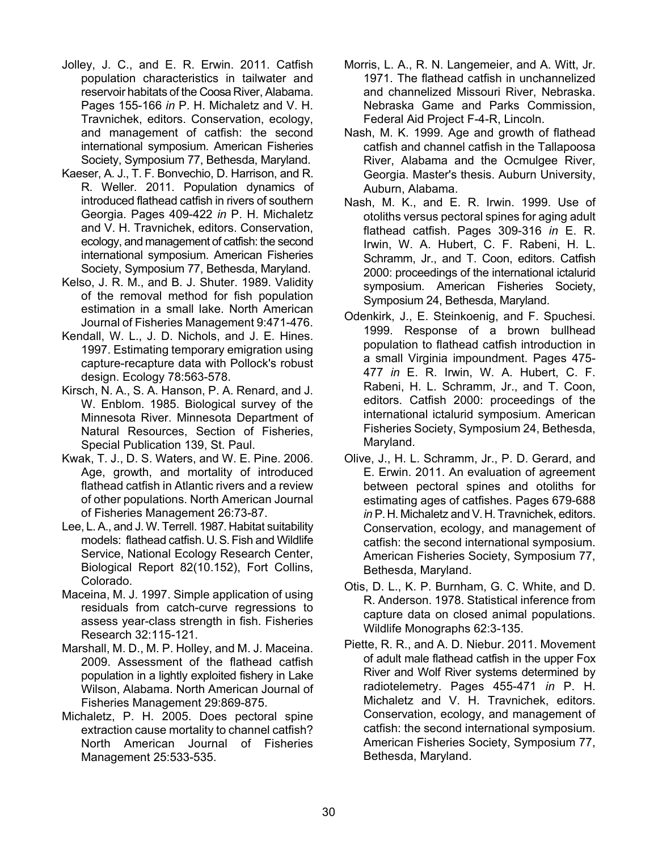- Jolley, J. C., and E. R. Erwin. 2011. Catfish population characteristics in tailwater and reservoir habitats of the Coosa River, Alabama. Pages 155-166 *in* P. H. Michaletz and V. H. Travnichek, editors. Conservation, ecology, and management of catfish: the second international symposium. American Fisheries Society, Symposium 77, Bethesda, Maryland.
- Kaeser, A. J., T. F. Bonvechio, D. Harrison, and R. R. Weller. 2011. Population dynamics of introduced flathead catfish in rivers of southern Georgia. Pages 409-422 *in* P. H. Michaletz and V. H. Travnichek, editors. Conservation, ecology, and management of catfish: the second international symposium. American Fisheries Society, Symposium 77, Bethesda, Maryland.
- Kelso, J. R. M., and B. J. Shuter. 1989. Validity of the removal method for fish population estimation in a small lake. North American Journal of Fisheries Management 9:471-476.
- Kendall, W. L., J. D. Nichols, and J. E. Hines. 1997. Estimating temporary emigration using capture-recapture data with Pollock's robust design. Ecology 78:563-578.
- Kirsch, N. A., S. A. Hanson, P. A. Renard, and J. W. Enblom. 1985. Biological survey of the Minnesota River. Minnesota Department of Natural Resources, Section of Fisheries, Special Publication 139, St. Paul.
- Kwak, T. J., D. S. Waters, and W. E. Pine. 2006. Age, growth, and mortality of introduced flathead catfish in Atlantic rivers and a review of other populations. North American Journal of Fisheries Management 26:73-87.
- Lee, L. A., and J. W. Terrell. 1987. Habitat suitability models: flathead catfish. U. S. Fish and Wildlife Service, National Ecology Research Center, Biological Report 82(10.152), Fort Collins, Colorado.
- Maceina, M. J. 1997. Simple application of using residuals from catch-curve regressions to assess year-class strength in fish. Fisheries Research 32:115-121.
- Marshall, M. D., M. P. Holley, and M. J. Maceina. 2009. Assessment of the flathead catfish population in a lightly exploited fishery in Lake Wilson, Alabama. North American Journal of Fisheries Management 29:869-875.
- Michaletz, P. H. 2005. Does pectoral spine extraction cause mortality to channel catfish? North American Journal of Fisheries Management 25:533-535.
- Morris, L. A., R. N. Langemeier, and A. Witt, Jr. 1971. The flathead catfish in unchannelized and channelized Missouri River, Nebraska. Nebraska Game and Parks Commission, Federal Aid Project F-4-R, Lincoln.
- Nash, M. K. 1999. Age and growth of flathead catfish and channel catfish in the Tallapoosa River, Alabama and the Ocmulgee River, Georgia. Master's thesis. Auburn University, Auburn, Alabama.
- Nash, M. K., and E. R. Irwin. 1999. Use of otoliths versus pectoral spines for aging adult flathead catfish. Pages 309-316 *in* E. R. Irwin, W. A. Hubert, C. F. Rabeni, H. L. Schramm, Jr., and T. Coon, editors. Catfish 2000: proceedings of the international ictalurid symposium. American Fisheries Society, Symposium 24, Bethesda, Maryland.
- Odenkirk, J., E. Steinkoenig, and F. Spuchesi. 1999. Response of a brown bullhead population to flathead catfish introduction in a small Virginia impoundment. Pages 475- 477 *in* E. R. Irwin, W. A. Hubert, C. F. Rabeni, H. L. Schramm, Jr., and T. Coon, editors. Catfish 2000: proceedings of the international ictalurid symposium. American Fisheries Society, Symposium 24, Bethesda, Maryland.
- Olive, J., H. L. Schramm, Jr., P. D. Gerard, and E. Erwin. 2011. An evaluation of agreement between pectoral spines and otoliths for estimating ages of catfishes. Pages 679-688 in P. H. Michaletz and V. H. Travnichek, editors. Conservation, ecology, and management of catfish: the second international symposium. American Fisheries Society, Symposium 77, Bethesda, Maryland.
- Otis, D. L., K. P. Burnham, G. C. White, and D. R. Anderson. 1978. Statistical inference from capture data on closed animal populations. Wildlife Monographs 62:3-135.
- Piette, R. R., and A. D. Niebur. 2011. Movement of adult male flathead catfish in the upper Fox River and Wolf River systems determined by radiotelemetry. Pages 455-471 *in* P. H. Michaletz and V. H. Travnichek, editors. Conservation, ecology, and management of catfish: the second international symposium. American Fisheries Society, Symposium 77, Bethesda, Maryland.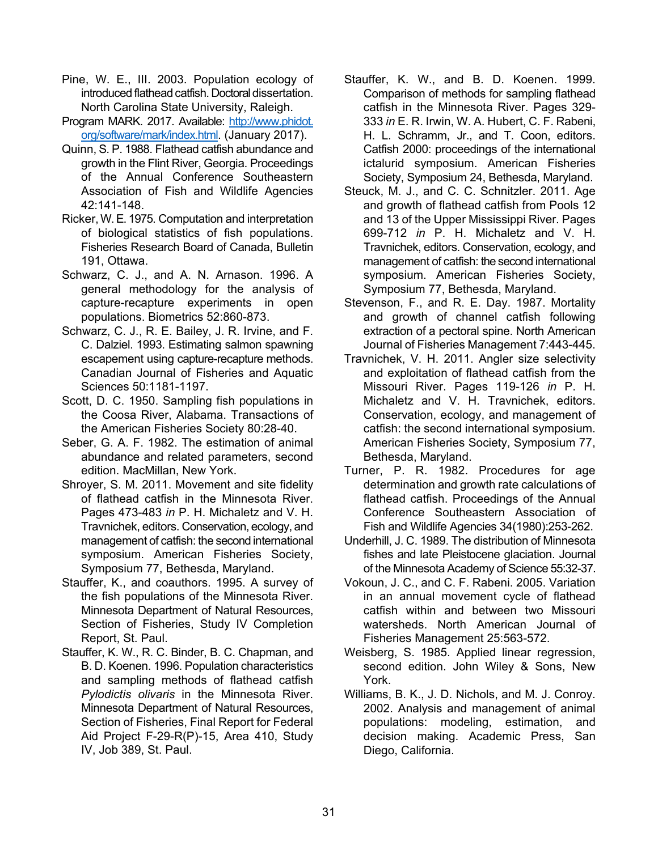- Pine, W. E., III. 2003. Population ecology of introduced flathead catfish. Doctoral dissertation. North Carolina State University, Raleigh.
- Program MARK. 2017. Available: http://www.phidot. org/software/mark/index.html. (January 2017).
- Quinn, S. P. 1988. Flathead catfish abundance and growth in the Flint River, Georgia. Proceedings of the Annual Conference Southeastern Association of Fish and Wildlife Agencies 42:141-148.
- Ricker, W. E. 1975. Computation and interpretation of biological statistics of fish populations. Fisheries Research Board of Canada, Bulletin 191, Ottawa.
- Schwarz, C. J., and A. N. Arnason. 1996. A general methodology for the analysis of capture-recapture experiments in open populations. Biometrics 52:860-873.
- Schwarz, C. J., R. E. Bailey, J. R. Irvine, and F. C. Dalziel. 1993. Estimating salmon spawning escapement using capture-recapture methods. Canadian Journal of Fisheries and Aquatic Sciences 50:1181-1197.
- Scott, D. C. 1950. Sampling fish populations in the Coosa River, Alabama. Transactions of the American Fisheries Society 80:28-40.
- Seber, G. A. F. 1982. The estimation of animal abundance and related parameters, second edition. MacMillan, New York.
- Shroyer, S. M. 2011. Movement and site fidelity of flathead catfish in the Minnesota River. Pages 473-483 *in* P. H. Michaletz and V. H. Travnichek, editors. Conservation, ecology, and management of catfish: the second international symposium. American Fisheries Society, Symposium 77, Bethesda, Maryland.
- Stauffer, K., and coauthors. 1995. A survey of the fish populations of the Minnesota River. Minnesota Department of Natural Resources, Section of Fisheries, Study IV Completion Report, St. Paul.
- Stauffer, K. W., R. C. Binder, B. C. Chapman, and B. D. Koenen. 1996. Population characteristics and sampling methods of flathead catfish *Pylodictis olivaris* in the Minnesota River. Minnesota Department of Natural Resources, Section of Fisheries, Final Report for Federal Aid Project F-29-R(P)-15, Area 410, Study IV, Job 389, St. Paul.
- Stauffer, K. W., and B. D. Koenen. 1999. Comparison of methods for sampling flathead catfish in the Minnesota River. Pages 329- 333 *in* E. R. Irwin, W. A. Hubert, C. F. Rabeni, H. L. Schramm, Jr., and T. Coon, editors. Catfish 2000: proceedings of the international ictalurid symposium. American Fisheries Society, Symposium 24, Bethesda, Maryland.
- Steuck, M. J., and C. C. Schnitzler. 2011. Age and growth of flathead catfish from Pools 12 and 13 of the Upper Mississippi River. Pages 699-712 *in* P. H. Michaletz and V. H. Travnichek, editors. Conservation, ecology, and management of catfish: the second international symposium. American Fisheries Society, Symposium 77, Bethesda, Maryland.
- Stevenson, F., and R. E. Day. 1987. Mortality and growth of channel catfish following extraction of a pectoral spine. North American Journal of Fisheries Management 7:443-445.
- Travnichek, V. H. 2011. Angler size selectivity and exploitation of flathead catfish from the Missouri River. Pages 119-126 *in* P. H. Michaletz and V. H. Travnichek, editors. Conservation, ecology, and management of catfish: the second international symposium. American Fisheries Society, Symposium 77, Bethesda, Maryland.
- Turner, P. R. 1982. Procedures for age determination and growth rate calculations of flathead catfish. Proceedings of the Annual Conference Southeastern Association of Fish and Wildlife Agencies 34(1980):253-262.
- Underhill, J. C. 1989. The distribution of Minnesota fishes and late Pleistocene glaciation. Journal of the Minnesota Academy of Science 55:32-37.
- Vokoun, J. C., and C. F. Rabeni. 2005. Variation in an annual movement cycle of flathead catfish within and between two Missouri watersheds. North American Journal of Fisheries Management 25:563-572.
- Weisberg, S. 1985. Applied linear regression, second edition. John Wiley & Sons, New York.
- Williams, B. K., J. D. Nichols, and M. J. Conroy. 2002. Analysis and management of animal populations: modeling, estimation, and decision making. Academic Press, San Diego, California.